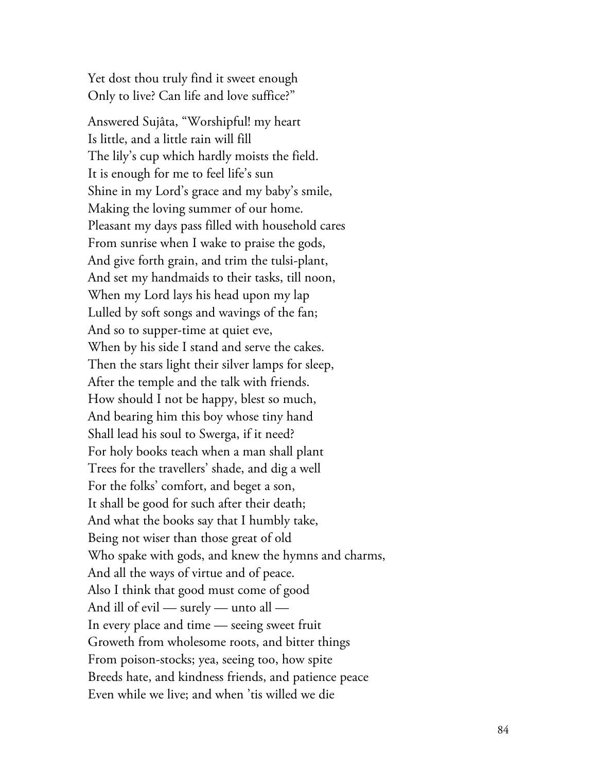Yet dost thou truly find it sweet enough Only to live? Can life and love suffice?"

Answered Sujâta, "Worshipful! my heart Is little, and a little rain will fill The lily's cup which hardly moists the field. It is enough for me to feel life's sun Shine in my Lord's grace and my baby's smile, Making the loving summer of our home. Pleasant my days pass filled with household cares From sunrise when I wake to praise the gods, And give forth grain, and trim the tulsi-plant, And set my handmaids to their tasks, till noon, When my Lord lays his head upon my lap Lulled by soft songs and wavings of the fan; And so to supper-time at quiet eve, When by his side I stand and serve the cakes. Then the stars light their silver lamps for sleep, After the temple and the talk with friends. How should I not be happy, blest so much, And bearing him this boy whose tiny hand Shall lead his soul to Swerga, if it need? For holy books teach when a man shall plant Trees for the travellers' shade, and dig a well For the folks' comfort, and beget a son, It shall be good for such after their death; And what the books say that I humbly take, Being not wiser than those great of old Who spake with gods, and knew the hymns and charms, And all the ways of virtue and of peace. Also I think that good must come of good And ill of evil — surely — unto all – In every place and time — seeing sweet fruit Groweth from wholesome roots, and bitter things From poison-stocks; yea, seeing too, how spite Breeds hate, and kindness friends, and patience peace Even while we live; and when 'tis willed we die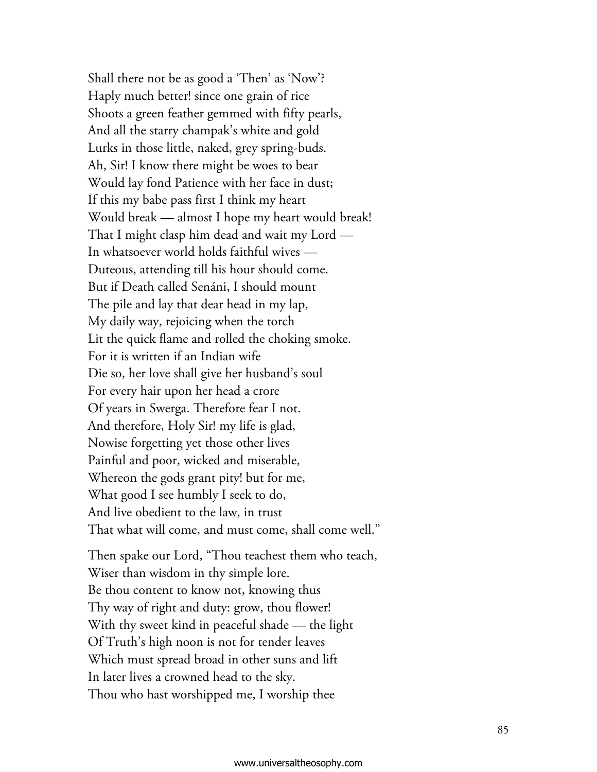Shall there not be as good a 'Then' as 'Now'? Haply much better! since one grain of rice Shoots a green feather gemmed with fifty pearls, And all the starry champak's white and gold Lurks in those little, naked, grey spring-buds. Ah, Sir! I know there might be woes to bear Would lay fond Patience with her face in dust; If this my babe pass first I think my heart Would break — almost I hope my heart would break! That I might clasp him dead and wait my  ${\rm Lord}$  — In whatsoever world holds faithful wives – Duteous, attending till his hour should come. But if Death called Senáni, I should mount The pile and lay that dear head in my lap, My daily way, rejoicing when the torch Lit the quick flame and rolled the choking smoke. For it is written if an Indian wife Die so, her love shall give her husband's soul For every hair upon her head a crore Of years in Swerga. Therefore fear I not. And therefore, Holy Sir! my life is glad, Nowise forgetting yet those other lives Painful and poor, wicked and miserable, Whereon the gods grant pity! but for me, What good I see humbly I seek to do, And live obedient to the law, in trust That what will come, and must come, shall come well." Then spake our Lord, "Thou teachest them who teach,

Wiser than wisdom in thy simple lore. Be thou content to know not, knowing thus Thy way of right and duty: grow, thou flower! With thy sweet kind in peaceful shade — the light Of Truth's high noon is not for tender leaves Which must spread broad in other suns and lift In later lives a crowned head to the sky. Thou who hast worshipped me, I worship thee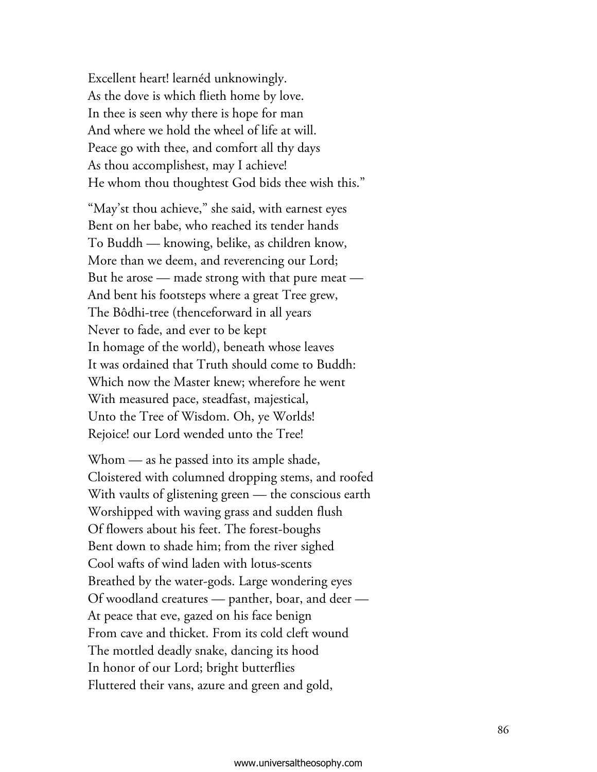Excellent heart! learnéd unknowingly. As the dove is which flieth home by love. In thee is seen why there is hope for man And where we hold the wheel of life at will. Peace go with thee, and comfort all thy days As thou accomplishest, may I achieve! He whom thou thoughtest God bids thee wish this."

"May'st thou achieve," she said, with earnest eyes Bent on her babe, who reached its tender hands To Buddh — knowing, belike, as children know, More than we deem, and reverencing our Lord; But he arose — made strong with that pure meat — And bent his footsteps where a great Tree grew, The Bôdhi-tree (thenceforward in all years Never to fade, and ever to be kept In homage of the world), beneath whose leaves It was ordained that Truth should come to Buddh: Which now the Master knew; wherefore he went With measured pace, steadfast, majestical, Unto the Tree of Wisdom. Oh, ye Worlds! Rejoice! our Lord wended unto the Tree!

Whom — as he passed into its ample shade, Cloistered with columned dropping stems, and roofed With vaults of glistening green — the conscious earth Worshipped with waving grass and sudden flush Of flowers about his feet. The forest-boughs Bent down to shade him; from the river sighed Cool wafts of wind laden with lotus-scents Breathed by the water-gods. Large wondering eyes Of woodland creatures — panther, boar, and deer — At peace that eve, gazed on his face benign From cave and thicket. From its cold cleft wound The mottled deadly snake, dancing its hood In honor of our Lord; bright butterflies Fluttered their vans, azure and green and gold,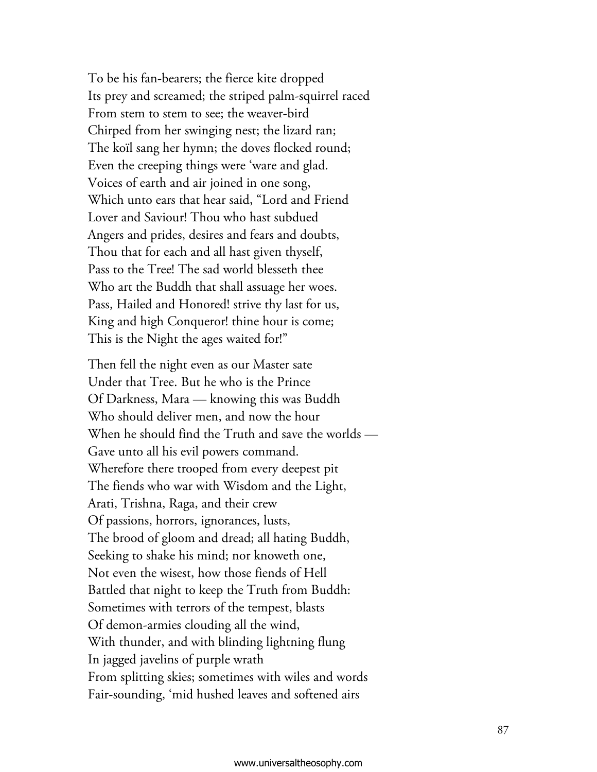To be his fan-bearers; the fierce kite dropped Its prey and screamed; the striped palm-squirrel raced From stem to stem to see; the weaver-bird Chirped from her swinging nest; the lizard ran; The koïl sang her hymn; the doves flocked round; Even the creeping things were 'ware and glad. Voices of earth and air joined in one song, Which unto ears that hear said, "Lord and Friend Lover and Saviour! Thou who hast subdued Angers and prides, desires and fears and doubts, Thou that for each and all hast given thyself, Pass to the Tree! The sad world blesseth thee Who art the Buddh that shall assuage her woes. Pass, Hailed and Honored! strive thy last for us, King and high Conqueror! thine hour is come; This is the Night the ages waited for!"

Then fell the night even as our Master sate Under that Tree. But he who is the Prince Of Darkness, Mara — knowing this was Buddh Who should deliver men, and now the hour When he should find the Truth and save the worlds — Gave unto all his evil powers command. Wherefore there trooped from every deepest pit The fiends who war with Wisdom and the Light, Arati, Trishna, Raga, and their crew Of passions, horrors, ignorances, lusts, The brood of gloom and dread; all hating Buddh, Seeking to shake his mind; nor knoweth one, Not even the wisest, how those fiends of Hell Battled that night to keep the Truth from Buddh: Sometimes with terrors of the tempest, blasts Of demon-armies clouding all the wind, With thunder, and with blinding lightning flung In jagged javelins of purple wrath From splitting skies; sometimes with wiles and words Fair-sounding, 'mid hushed leaves and softened airs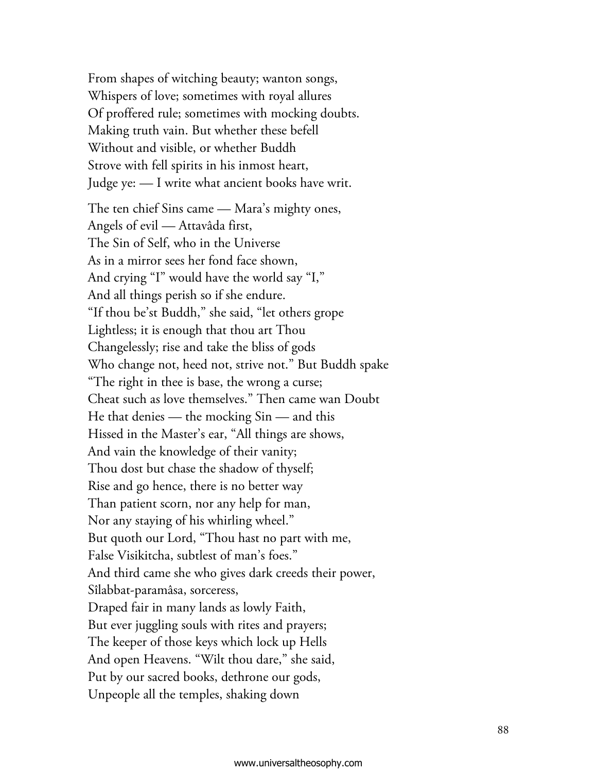From shapes of witching beauty; wanton songs, Whispers of love; sometimes with royal allures Of proffered rule; sometimes with mocking doubts. Making truth vain. But whether these befell Without and visible, or whether Buddh Strove with fell spirits in his inmost heart, Judge ye: — I write what ancient books have writ.

The ten chief Sins came — Mara's mighty ones, Angels of evil — Attavâda first, The Sin of Self, who in the Universe As in a mirror sees her fond face shown, And crying "I" would have the world say "I," And all things perish so if she endure. "If thou be'st Buddh," she said, "let others grope Lightless; it is enough that thou art Thou Changelessly; rise and take the bliss of gods Who change not, heed not, strive not." But Buddh spake "The right in thee is base, the wrong a curse; Cheat such as love themselves." Then came wan Doubt He that denies — the mocking Sin — and this Hissed in the Master's ear, "All things are shows, And vain the knowledge of their vanity; Thou dost but chase the shadow of thyself; Rise and go hence, there is no better way Than patient scorn, nor any help for man, Nor any staying of his whirling wheel." But quoth our Lord, "Thou hast no part with me, False Visikitcha, subtlest of man's foes." And third came she who gives dark creeds their power, Sîlabbat-paramâsa, sorceress, Draped fair in many lands as lowly Faith, But ever juggling souls with rites and prayers; The keeper of those keys which lock up Hells And open Heavens. "Wilt thou dare," she said, Put by our sacred books, dethrone our gods, Unpeople all the temples, shaking down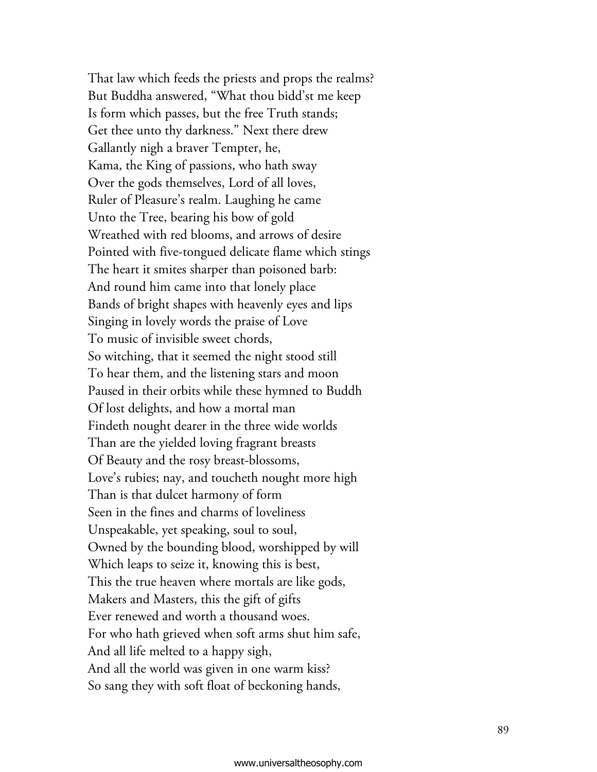That law which feeds the priests and props the realms? But Buddha answered, "What thou bidd'st me keep Is form which passes, but the free Truth stands; Get thee unto thy darkness." Next there drew Gallantly nigh a braver Tempter, he, Kama, the King of passions, who hath sway Over the gods themselves, Lord of all loves, Ruler of Pleasure's realm. Laughing he came Unto the Tree, bearing his bow of gold Wreathed with red blooms, and arrows of desire Pointed with five-tongued delicate flame which stings The heart it smites sharper than poisoned barb: And round him came into that lonely place Bands of bright shapes with heavenly eyes and lips Singing in lovely words the praise of Love To music of invisible sweet chords, So witching, that it seemed the night stood still To hear them, and the listening stars and moon Paused in their orbits while these hymned to Buddh Of lost delights, and how a mortal man Findeth nought dearer in the three wide worlds Than are the yielded loving fragrant breasts Of Beauty and the rosy breast-blossoms, Love's rubies; nay, and toucheth nought more high Than is that dulcet harmony of form Seen in the fines and charms of loveliness Unspeakable, yet speaking, soul to soul, Owned by the bounding blood, worshipped by will Which leaps to seize it, knowing this is best, This the true heaven where mortals are like gods, Makers and Masters, this the gift of gifts Ever renewed and worth a thousand woes. For who hath grieved when soft arms shut him safe, And all life melted to a happy sigh, And all the world was given in one warm kiss? So sang they with soft float of beckoning hands,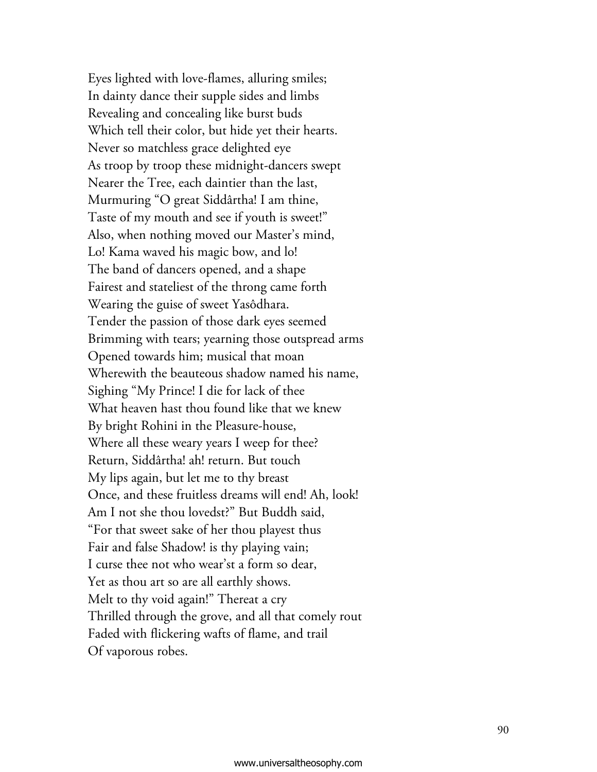Eyes lighted with love-flames, alluring smiles; In dainty dance their supple sides and limbs Revealing and concealing like burst buds Which tell their color, but hide yet their hearts. Never so matchless grace delighted eye As troop by troop these midnight-dancers swept Nearer the Tree, each daintier than the last, Murmuring "O great Siddârtha! I am thine, Taste of my mouth and see if youth is sweet!" Also, when nothing moved our Master's mind, Lo! Kama waved his magic bow, and lo! The band of dancers opened, and a shape Fairest and stateliest of the throng came forth Wearing the guise of sweet Yasôdhara. Tender the passion of those dark eyes seemed Brimming with tears; yearning those outspread arms Opened towards him; musical that moan Wherewith the beauteous shadow named his name, Sighing "My Prince! I die for lack of thee What heaven hast thou found like that we knew By bright Rohini in the Pleasure-house, Where all these weary years I weep for thee? Return, Siddârtha! ah! return. But touch My lips again, but let me to thy breast Once, and these fruitless dreams will end! Ah, look! Am I not she thou lovedst?" But Buddh said, "For that sweet sake of her thou playest thus Fair and false Shadow! is thy playing vain; I curse thee not who wear'st a form so dear, Yet as thou art so are all earthly shows. Melt to thy void again!" Thereat a cry Thrilled through the grove, and all that comely rout Faded with flickering wafts of flame, and trail Of vaporous robes.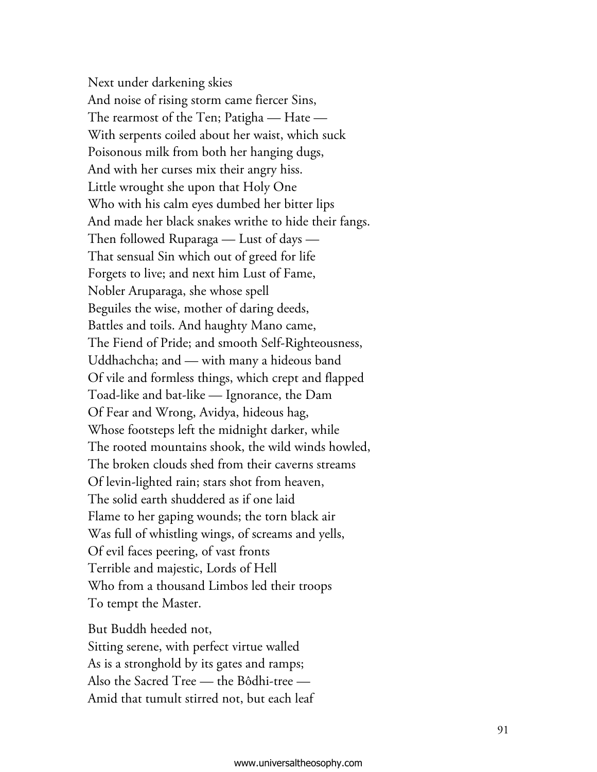Next under darkening skies And noise of rising storm came fiercer Sins, The rearmost of the Ten; Patigha — Hate – With serpents coiled about her waist, which suck Poisonous milk from both her hanging dugs, And with her curses mix their angry hiss. Little wrought she upon that Holy One Who with his calm eyes dumbed her bitter lips And made her black snakes writhe to hide their fangs. Then followed Ruparaga — Lust of days — That sensual Sin which out of greed for life Forgets to live; and next him Lust of Fame, Nobler Aruparaga, she whose spell Beguiles the wise, mother of daring deeds, Battles and toils. And haughty Mano came, The Fiend of Pride; and smooth Self-Righteousness, Uddhachcha; and — with many a hideous band Of vile and formless things, which crept and flapped Toad-like and bat-like — Ignorance, the Dam Of Fear and Wrong, Avidya, hideous hag, Whose footsteps left the midnight darker, while The rooted mountains shook, the wild winds howled, The broken clouds shed from their caverns streams Of levin-lighted rain; stars shot from heaven, The solid earth shuddered as if one laid Flame to her gaping wounds; the torn black air Was full of whistling wings, of screams and yells, Of evil faces peering, of vast fronts Terrible and majestic, Lords of Hell Who from a thousand Limbos led their troops To tempt the Master.

But Buddh heeded not, Sitting serene, with perfect virtue walled As is a stronghold by its gates and ramps; Also the Sacred Tree — the Bôdhi-tree – Amid that tumult stirred not, but each leaf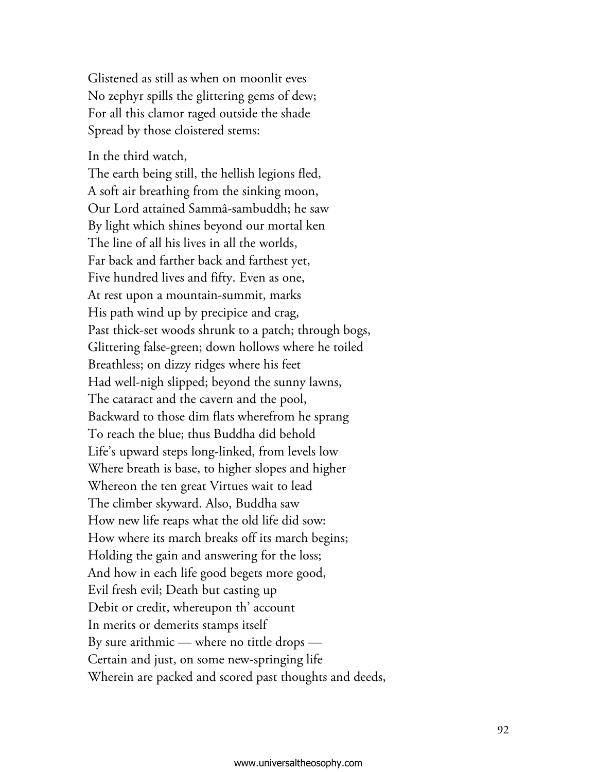Glistened as still as when on moonlit eves No zephyr spills the glittering gems of dew; For all this clamor raged outside the shade Spread by those cloistered stems:

In the third watch,

The earth being still, the hellish legions fled, A soft air breathing from the sinking moon, Our Lord attained Sammâ-sambuddh; he saw By light which shines beyond our mortal ken The line of all his lives in all the worlds, Far back and farther back and farthest yet, Five hundred lives and fifty. Even as one, At rest upon a mountain-summit, marks His path wind up by precipice and crag, Past thick-set woods shrunk to a patch; through bogs, Glittering false-green; down hollows where he toiled Breathless; on dizzy ridges where his feet Had well-nigh slipped; beyond the sunny lawns, The cataract and the cavern and the pool, Backward to those dim flats wherefrom he sprang To reach the blue; thus Buddha did behold Life's upward steps long-linked, from levels low Where breath is base, to higher slopes and higher Whereon the ten great Virtues wait to lead The climber skyward. Also, Buddha saw How new life reaps what the old life did sow: How where its march breaks off its march begins; Holding the gain and answering for the loss; And how in each life good begets more good, Evil fresh evil; Death but casting up Debit or credit, whereupon th' account In merits or demerits stamps itself By sure arithmic — where no tittle drops — Certain and just, on some new-springing life Wherein are packed and scored past thoughts and deeds,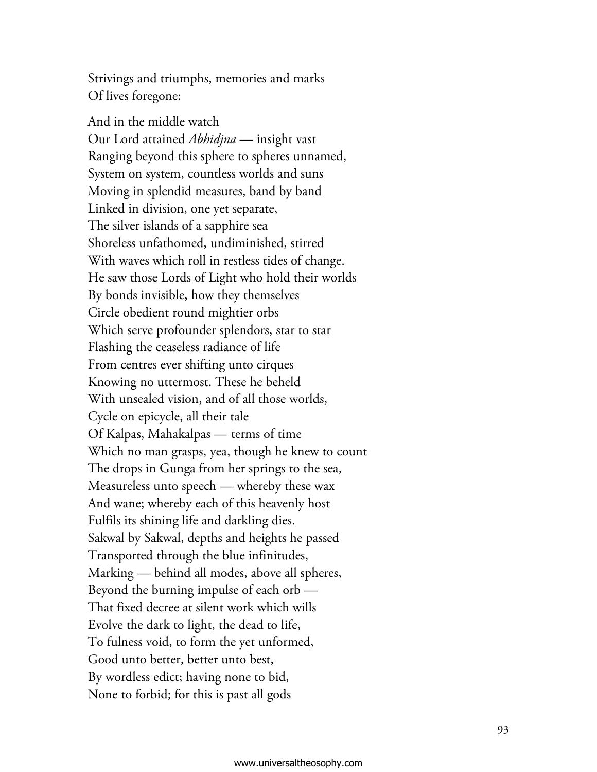Strivings and triumphs, memories and marks Of lives foregone:

And in the middle watch Our Lord attained *Abhidjna* — insight vast Ranging beyond this sphere to spheres unnamed, System on system, countless worlds and suns Moving in splendid measures, band by band Linked in division, one yet separate, The silver islands of a sapphire sea Shoreless unfathomed, undiminished, stirred With waves which roll in restless tides of change. He saw those Lords of Light who hold their worlds By bonds invisible, how they themselves Circle obedient round mightier orbs Which serve profounder splendors, star to star Flashing the ceaseless radiance of life From centres ever shifting unto cirques Knowing no uttermost. These he beheld With unsealed vision, and of all those worlds, Cycle on epicycle, all their tale Of Kalpas, Mahakalpas — terms of time Which no man grasps, yea, though he knew to count The drops in Gunga from her springs to the sea, Measureless unto speech — whereby these wax And wane; whereby each of this heavenly host Fulfils its shining life and darkling dies. Sakwal by Sakwal, depths and heights he passed Transported through the blue infinitudes, Marking — behind all modes, above all spheres, Beyond the burning impulse of each orb — That fixed decree at silent work which wills Evolve the dark to light, the dead to life, To fulness void, to form the yet unformed, Good unto better, better unto best, By wordless edict; having none to bid, None to forbid; for this is past all gods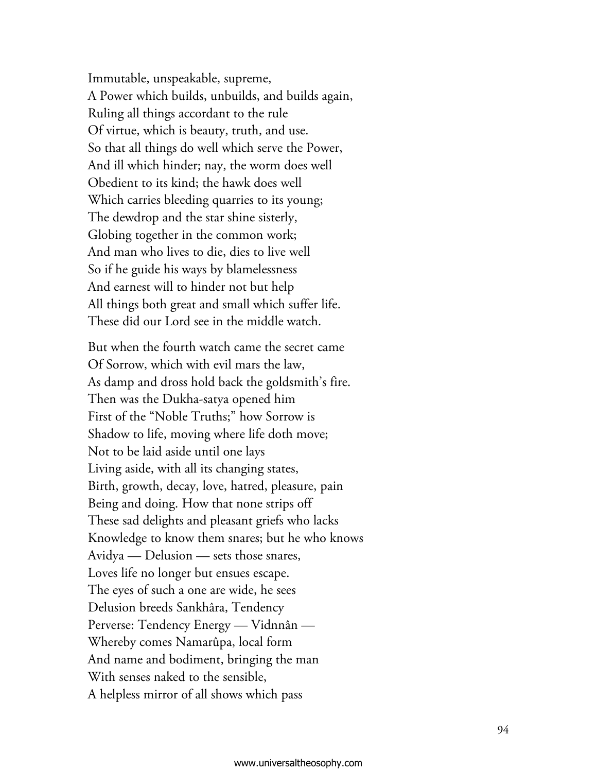Immutable, unspeakable, supreme, A Power which builds, unbuilds, and builds again, Ruling all things accordant to the rule Of virtue, which is beauty, truth, and use. So that all things do well which serve the Power, And ill which hinder; nay, the worm does well Obedient to its kind; the hawk does well Which carries bleeding quarries to its young; The dewdrop and the star shine sisterly, Globing together in the common work; And man who lives to die, dies to live well So if he guide his ways by blamelessness And earnest will to hinder not but help All things both great and small which suffer life. These did our Lord see in the middle watch.

But when the fourth watch came the secret came Of Sorrow, which with evil mars the law, As damp and dross hold back the goldsmith's fire. Then was the Dukha-satya opened him First of the "Noble Truths;" how Sorrow is Shadow to life, moving where life doth move; Not to be laid aside until one lays Living aside, with all its changing states, Birth, growth, decay, love, hatred, pleasure, pain Being and doing. How that none strips off These sad delights and pleasant griefs who lacks Knowledge to know them snares; but he who knows Avidya — Delusion — sets those snares, Loves life no longer but ensues escape. The eyes of such a one are wide, he sees Delusion breeds Sankhâra, Tendency Perverse: Tendency Energy — Vidnnân – Whereby comes Namarûpa, local form And name and bodiment, bringing the man With senses naked to the sensible, A helpless mirror of all shows which pass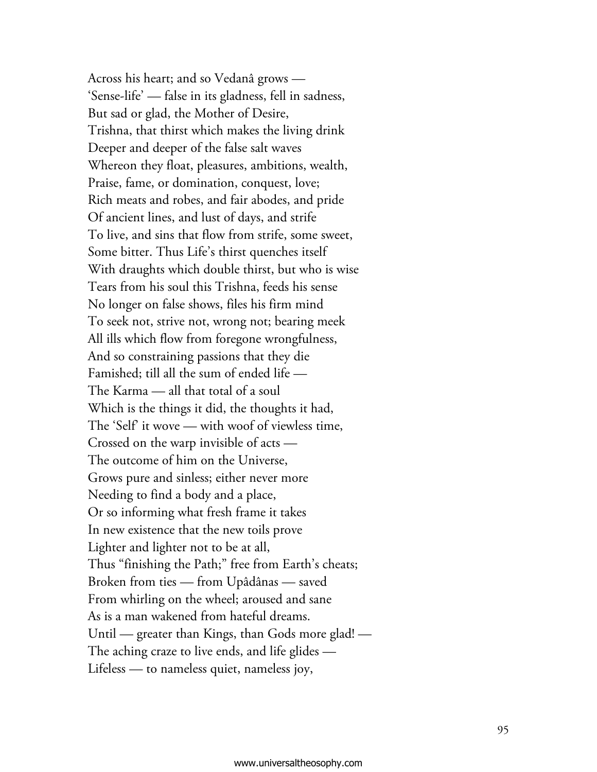Across his heart; and so Vedanâ grows – 'Sense-life' — false in its gladness, fell in sadness, But sad or glad, the Mother of Desire, Trishna, that thirst which makes the living drink Deeper and deeper of the false salt waves Whereon they float, pleasures, ambitions, wealth, Praise, fame, or domination, conquest, love; Rich meats and robes, and fair abodes, and pride Of ancient lines, and lust of days, and strife To live, and sins that flow from strife, some sweet, Some bitter. Thus Life's thirst quenches itself With draughts which double thirst, but who is wise Tears from his soul this Trishna, feeds his sense No longer on false shows, files his firm mind To seek not, strive not, wrong not; bearing meek All ills which flow from foregone wrongfulness, And so constraining passions that they die Famished; till all the sum of ended life — The Karma — all that total of a soul Which is the things it did, the thoughts it had, The 'Self' it wove — with woof of viewless time, Crossed on the warp invisible of  $acts$  — The outcome of him on the Universe, Grows pure and sinless; either never more Needing to find a body and a place, Or so informing what fresh frame it takes In new existence that the new toils prove Lighter and lighter not to be at all, Thus "finishing the Path;" free from Earth's cheats; Broken from ties — from Upâdânas — saved From whirling on the wheel; aroused and sane As is a man wakened from hateful dreams. Until — greater than Kings, than Gods more glad! – The aching craze to live ends, and life glides  $-$ Lifeless — to nameless quiet, nameless joy,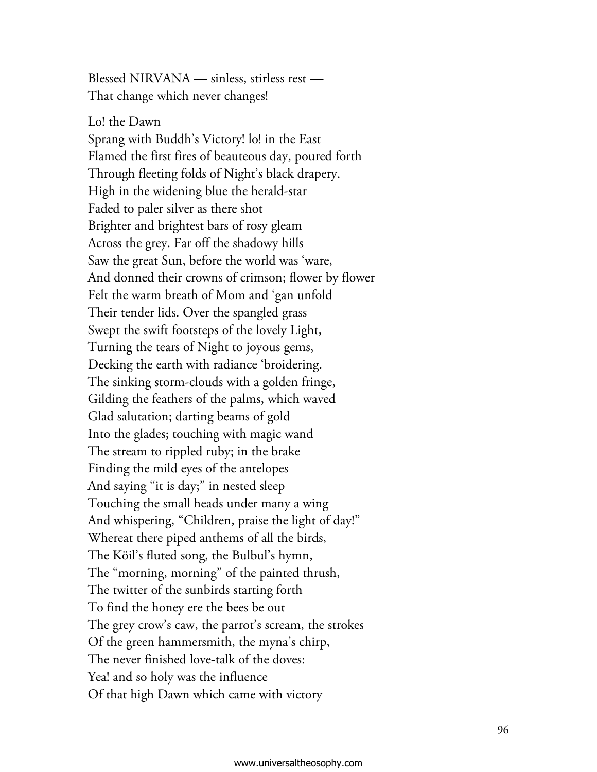Blessed NIRVANA — sinless, stirless rest – That change which never changes!

Lo! the Dawn Sprang with Buddh's Victory! lo! in the East Flamed the first fires of beauteous day, poured forth Through fleeting folds of Night's black drapery. High in the widening blue the herald-star Faded to paler silver as there shot Brighter and brightest bars of rosy gleam Across the grey. Far off the shadowy hills Saw the great Sun, before the world was 'ware, And donned their crowns of crimson; flower by flower Felt the warm breath of Mom and 'gan unfold Their tender lids. Over the spangled grass Swept the swift footsteps of the lovely Light, Turning the tears of Night to joyous gems, Decking the earth with radiance 'broidering. The sinking storm-clouds with a golden fringe, Gilding the feathers of the palms, which waved Glad salutation; darting beams of gold Into the glades; touching with magic wand The stream to rippled ruby; in the brake Finding the mild eyes of the antelopes And saying "it is day;" in nested sleep Touching the small heads under many a wing And whispering, "Children, praise the light of day!" Whereat there piped anthems of all the birds, The Köil's fluted song, the Bulbul's hymn, The "morning, morning" of the painted thrush, The twitter of the sunbirds starting forth To find the honey ere the bees be out The grey crow's caw, the parrot's scream, the strokes Of the green hammersmith, the myna's chirp, The never finished love-talk of the doves: Yea! and so holy was the influence Of that high Dawn which came with victory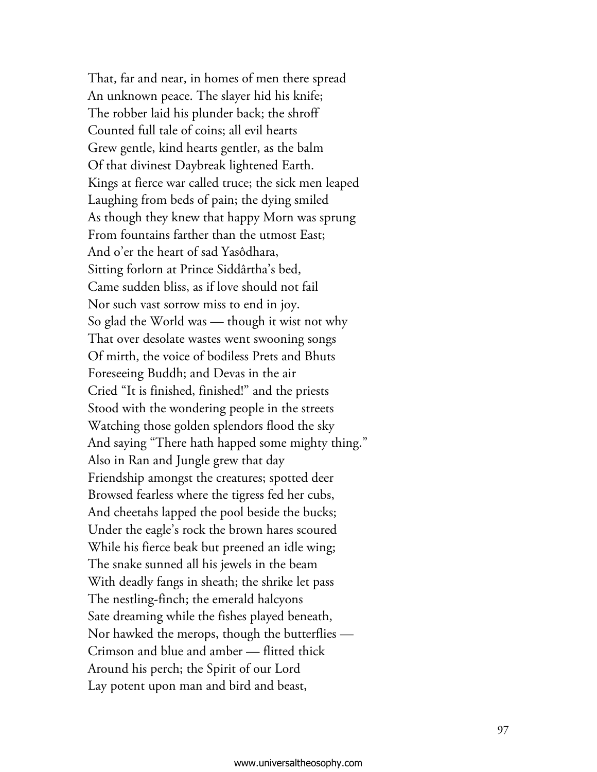That, far and near, in homes of men there spread An unknown peace. The slayer hid his knife; The robber laid his plunder back; the shroff Counted full tale of coins; all evil hearts Grew gentle, kind hearts gentler, as the balm Of that divinest Daybreak lightened Earth. Kings at fierce war called truce; the sick men leaped Laughing from beds of pain; the dying smiled As though they knew that happy Morn was sprung From fountains farther than the utmost East; And o'er the heart of sad Yasôdhara, Sitting forlorn at Prince Siddârtha's bed, Came sudden bliss, as if love should not fail Nor such vast sorrow miss to end in joy. So glad the World was — though it wist not why That over desolate wastes went swooning songs Of mirth, the voice of bodiless Prets and Bhuts Foreseeing Buddh; and Devas in the air Cried "It is finished, finished!" and the priests Stood with the wondering people in the streets Watching those golden splendors flood the sky And saying "There hath happed some mighty thing." Also in Ran and Jungle grew that day Friendship amongst the creatures; spotted deer Browsed fearless where the tigress fed her cubs, And cheetahs lapped the pool beside the bucks; Under the eagle's rock the brown hares scoured While his fierce beak but preened an idle wing; The snake sunned all his jewels in the beam With deadly fangs in sheath; the shrike let pass The nestling-finch; the emerald halcyons Sate dreaming while the fishes played beneath, Nor hawked the merops, though the butterflies — Crimson and blue and amber — flitted thick Around his perch; the Spirit of our Lord Lay potent upon man and bird and beast,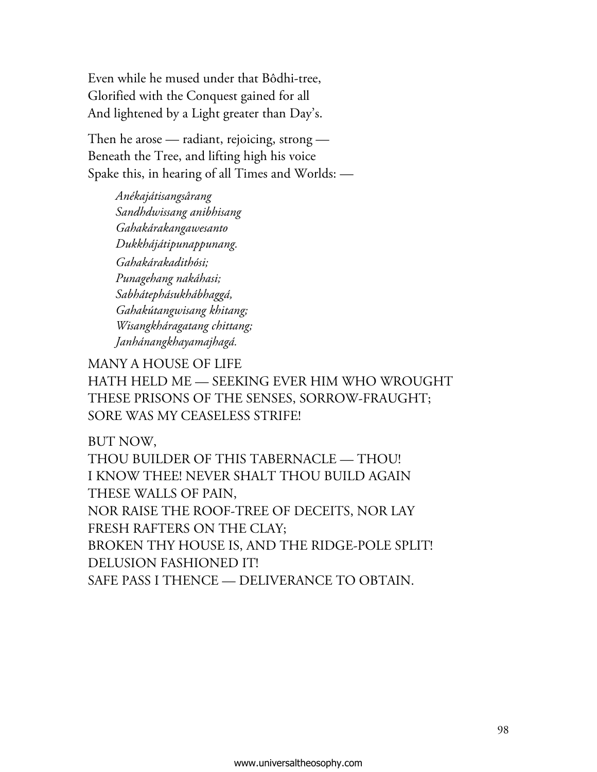Even while he mused under that Bôdhi-tree, Glorified with the Conquest gained for all And lightened by a Light greater than Day's.

Then he arose — radiant, rejoicing, strong — Beneath the Tree, and lifting high his voice Spake this, in hearing of all Times and Worlds: -

> *Anékajátisangsârang Sandhdwissang anibhisang Gahakárakangawesanto Dukkhájátipunappunang. Gahakárakadithósi; Punagehang nakáhasi; Sabhátephásukhábhaggá, Gahakútangwisang khitang; Wisangkháragatang chittang; Janhánangkhayamajhagá.*

MANY A HOUSE OF LIFE

HATH HELD ME — SEEKING EVER HIM WHO WROUGHT THESE PRISONS OF THE SENSES, SORROW-FRAUGHT; SORE WAS MY CEASELESS STRIFE!

BUT NOW,

THOU BUILDER OF THIS TABERNACLE — THOU! I KNOW THEE! NEVER SHALT THOU BUILD AGAIN THESE WALLS OF PAIN, NOR RAISE THE ROOF-TREE OF DECEITS, NOR LAY FRESH RAFTERS ON THE CLAY; BROKEN THY HOUSE IS, AND THE RIDGE-POLE SPLIT! DELUSION FASHIONED IT! SAFE PASS I THENCE — DELIVERANCE TO OBTAIN.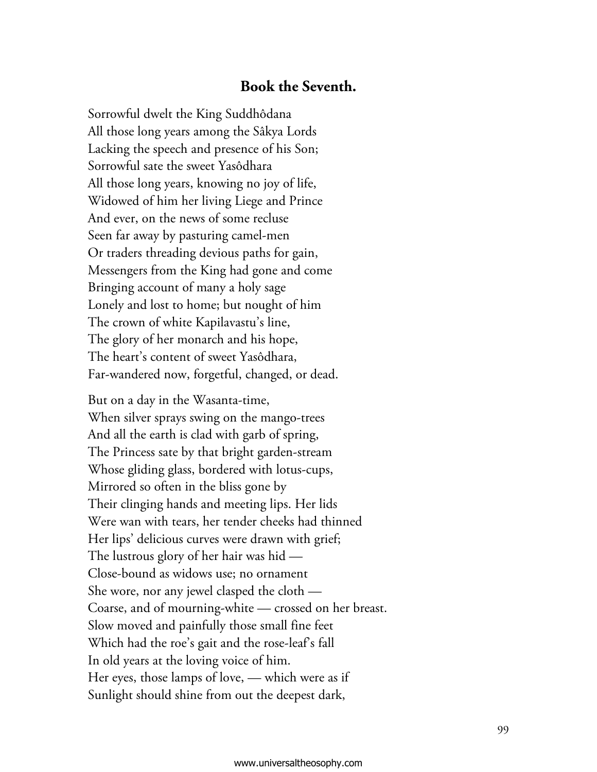## **Book the Seventh.**

Sorrowful dwelt the King Suddhôdana All those long years among the Sâkya Lords Lacking the speech and presence of his Son; Sorrowful sate the sweet Yasôdhara All those long years, knowing no joy of life, Widowed of him her living Liege and Prince And ever, on the news of some recluse Seen far away by pasturing camel-men Or traders threading devious paths for gain, Messengers from the King had gone and come Bringing account of many a holy sage Lonely and lost to home; but nought of him The crown of white Kapilavastu's line, The glory of her monarch and his hope, The heart's content of sweet Yasôdhara, Far-wandered now, forgetful, changed, or dead.

But on a day in the Wasanta-time, When silver sprays swing on the mango-trees And all the earth is clad with garb of spring, The Princess sate by that bright garden-stream Whose gliding glass, bordered with lotus-cups, Mirrored so often in the bliss gone by Their clinging hands and meeting lips. Her lids Were wan with tears, her tender cheeks had thinned Her lips' delicious curves were drawn with grief; The lustrous glory of her hair was hid  $-$ Close-bound as widows use; no ornament She wore, nor any jewel clasped the cloth -Coarse, and of mourning-white — crossed on her breast. Slow moved and painfully those small fine feet Which had the roe's gait and the rose-leaf's fall In old years at the loving voice of him. Her eyes, those lamps of love, — which were as if Sunlight should shine from out the deepest dark,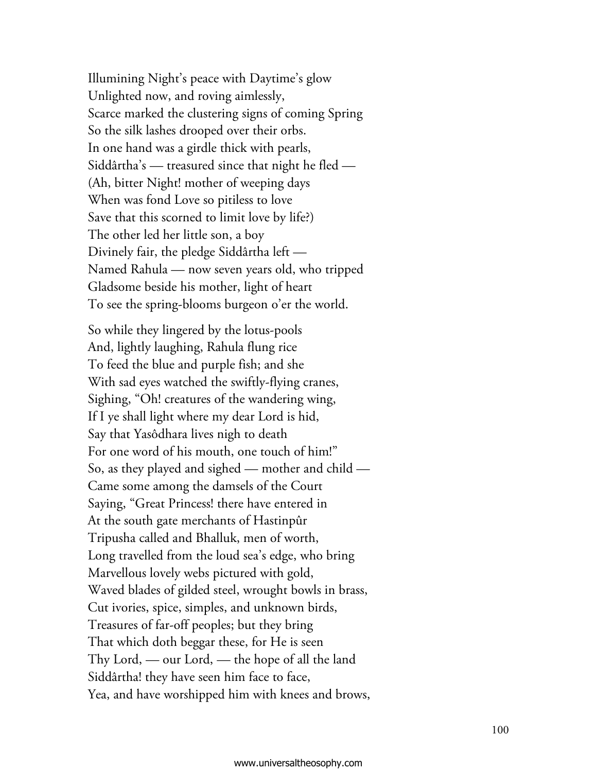Illumining Night's peace with Daytime's glow Unlighted now, and roving aimlessly, Scarce marked the clustering signs of coming Spring So the silk lashes drooped over their orbs. In one hand was a girdle thick with pearls, Siddârtha's — treasured since that night he fled — (Ah, bitter Night! mother of weeping days When was fond Love so pitiless to love Save that this scorned to limit love by life?) The other led her little son, a boy Divinely fair, the pledge Siddârtha left — Named Rahula — now seven years old, who tripped Gladsome beside his mother, light of heart To see the spring-blooms burgeon o'er the world.

So while they lingered by the lotus-pools And, lightly laughing, Rahula flung rice To feed the blue and purple fish; and she With sad eyes watched the swiftly-flying cranes, Sighing, "Oh! creatures of the wandering wing, If I ye shall light where my dear Lord is hid, Say that Yasôdhara lives nigh to death For one word of his mouth, one touch of him!" So, as they played and sighed — mother and child — Came some among the damsels of the Court Saying, "Great Princess! there have entered in At the south gate merchants of Hastinpûr Tripusha called and Bhalluk, men of worth, Long travelled from the loud sea's edge, who bring Marvellous lovely webs pictured with gold, Waved blades of gilded steel, wrought bowls in brass, Cut ivories, spice, simples, and unknown birds, Treasures of far-off peoples; but they bring That which doth beggar these, for He is seen Thy Lord, — our Lord, — the hope of all the land Siddârtha! they have seen him face to face, Yea, and have worshipped him with knees and brows,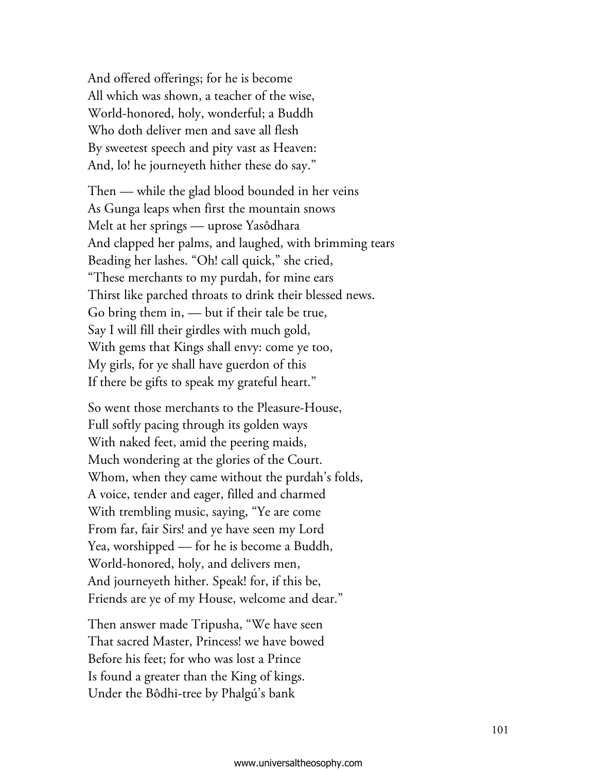And offered offerings; for he is become All which was shown, a teacher of the wise, World-honored, holy, wonderful; a Buddh Who doth deliver men and save all flesh By sweetest speech and pity vast as Heaven: And, lo! he journeyeth hither these do say."

Then — while the glad blood bounded in her veins As Gunga leaps when first the mountain snows Melt at her springs — uprose Yasôdhara And clapped her palms, and laughed, with brimming tears Beading her lashes. "Oh! call quick," she cried, "These merchants to my purdah, for mine ears Thirst like parched throats to drink their blessed news. Go bring them in, — but if their tale be true, Say I will fill their girdles with much gold, With gems that Kings shall envy: come ye too, My girls, for ye shall have guerdon of this If there be gifts to speak my grateful heart."

So went those merchants to the Pleasure-House, Full softly pacing through its golden ways With naked feet, amid the peering maids, Much wondering at the glories of the Court. Whom, when they came without the purdah's folds, A voice, tender and eager, filled and charmed With trembling music, saying, "Ye are come From far, fair Sirs! and ye have seen my Lord Yea, worshipped — for he is become a Buddh, World-honored, holy, and delivers men, And journeyeth hither. Speak! for, if this be, Friends are ye of my House, welcome and dear."

Then answer made Tripusha, "We have seen That sacred Master, Princess! we have bowed Before his feet; for who was lost a Prince Is found a greater than the King of kings. Under the Bôdhi-tree by Phalgú's bank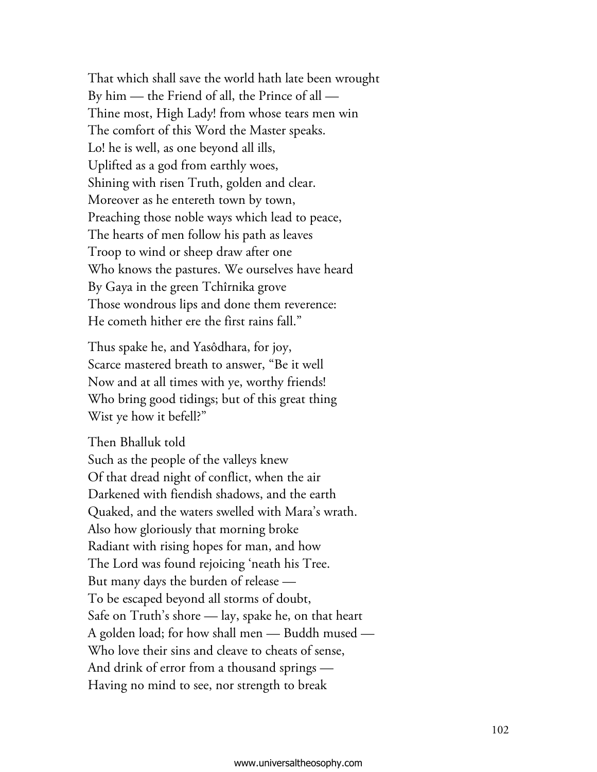That which shall save the world hath late been wrought By him  $-$  the Friend of all, the Prince of all  $-$ Thine most, High Lady! from whose tears men win The comfort of this Word the Master speaks. Lo! he is well, as one beyond all ills, Uplifted as a god from earthly woes, Shining with risen Truth, golden and clear. Moreover as he entereth town by town, Preaching those noble ways which lead to peace, The hearts of men follow his path as leaves Troop to wind or sheep draw after one Who knows the pastures. We ourselves have heard By Gaya in the green Tchîrnika grove Those wondrous lips and done them reverence: He cometh hither ere the first rains fall."

Thus spake he, and Yasôdhara, for joy, Scarce mastered breath to answer, "Be it well Now and at all times with ye, worthy friends! Who bring good tidings; but of this great thing Wist ye how it befell?"

Then Bhalluk told Such as the people of the valleys knew Of that dread night of conflict, when the air Darkened with fiendish shadows, and the earth Quaked, and the waters swelled with Mara's wrath. Also how gloriously that morning broke Radiant with rising hopes for man, and how The Lord was found rejoicing 'neath his Tree. But many days the burden of release — To be escaped beyond all storms of doubt, Safe on Truth's shore — lay, spake he, on that heart A golden load; for how shall men — Buddh mused – Who love their sins and cleave to cheats of sense, And drink of error from a thousand springs — Having no mind to see, nor strength to break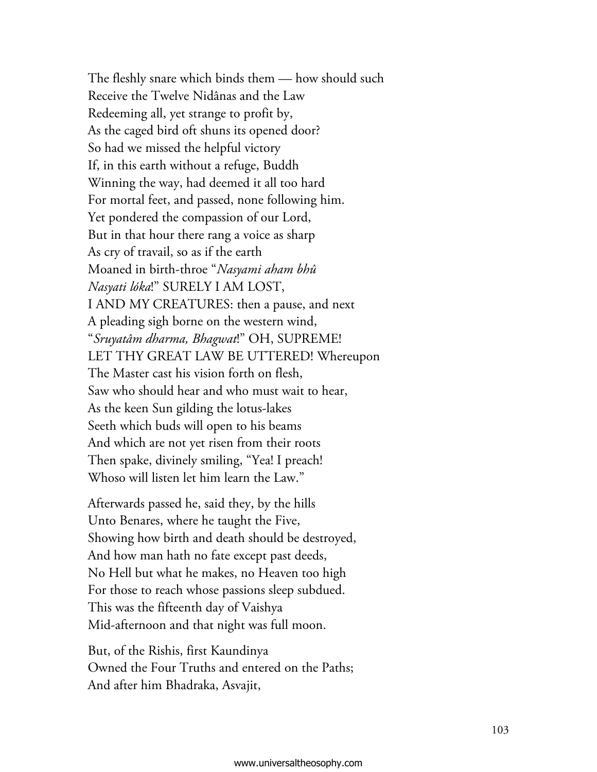The fleshly snare which binds them — how should such Receive the Twelve Nidânas and the Law Redeeming all, yet strange to profit by, As the caged bird oft shuns its opened door? So had we missed the helpful victory If, in this earth without a refuge, Buddh Winning the way, had deemed it all too hard For mortal feet, and passed, none following him. Yet pondered the compassion of our Lord, But in that hour there rang a voice as sharp As cry of travail, so as if the earth Moaned in birth-throe "*Nasyami aham bhû Nasyati lóka*!" SURELY I AM LOST, I AND MY CREATURES: then a pause, and next A pleading sigh borne on the western wind, "*Sruyatâm dharma, Bhagwat*!" OH, SUPREME! LET THY GREAT LAW BE UTTERED! Whereupon The Master cast his vision forth on flesh, Saw who should hear and who must wait to hear, As the keen Sun gilding the lotus-lakes Seeth which buds will open to his beams And which are not yet risen from their roots Then spake, divinely smiling, "Yea! I preach! Whoso will listen let him learn the Law."

Afterwards passed he, said they, by the hills Unto Benares, where he taught the Five, Showing how birth and death should be destroyed, And how man hath no fate except past deeds, No Hell but what he makes, no Heaven too high For those to reach whose passions sleep subdued. This was the fifteenth day of Vaishya Mid-afternoon and that night was full moon.

But, of the Rishis, first Kaundinya Owned the Four Truths and entered on the Paths; And after him Bhadraka, Asvajit,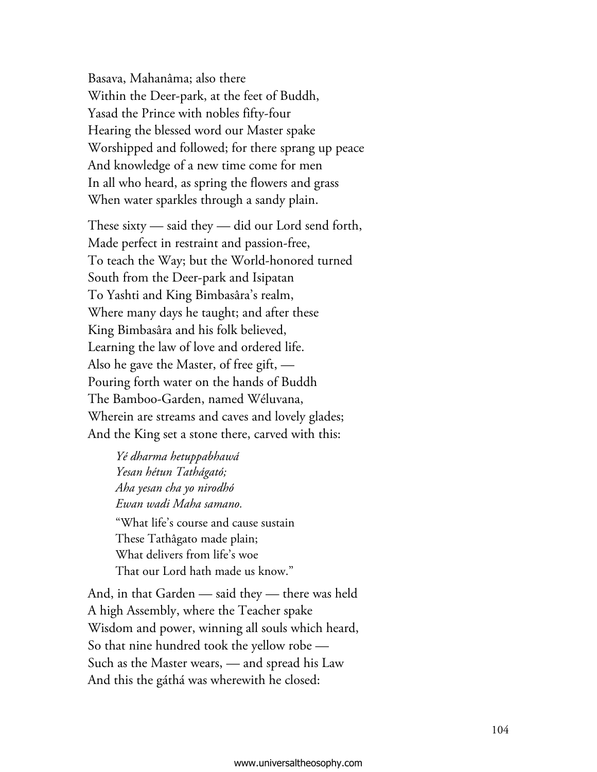Basava, Mahanâma; also there Within the Deer-park, at the feet of Buddh, Yasad the Prince with nobles fifty-four Hearing the blessed word our Master spake Worshipped and followed; for there sprang up peace And knowledge of a new time come for men In all who heard, as spring the flowers and grass When water sparkles through a sandy plain.

These sixty — said they — did our Lord send forth, Made perfect in restraint and passion-free, To teach the Way; but the World-honored turned South from the Deer-park and Isipatan To Yashti and King Bimbasâra's realm, Where many days he taught; and after these King Bimbasâra and his folk believed, Learning the law of love and ordered life. Also he gave the Master, of free gift,  $-$ Pouring forth water on the hands of Buddh The Bamboo-Garden, named Wéluvana, Wherein are streams and caves and lovely glades; And the King set a stone there, carved with this:

> *Yé dharma hetuppabhawá Yesan hétun Tathágató; Aha yesan cha yo nirodhó Ewan wadi Maha samano.*  "What life's course and cause sustain These Tathâgato made plain; What delivers from life's woe That our Lord hath made us know."

And, in that Garden — said they — there was held A high Assembly, where the Teacher spake Wisdom and power, winning all souls which heard, So that nine hundred took the yellow robe  $-$ Such as the Master wears, — and spread his Law And this the gáthá was wherewith he closed: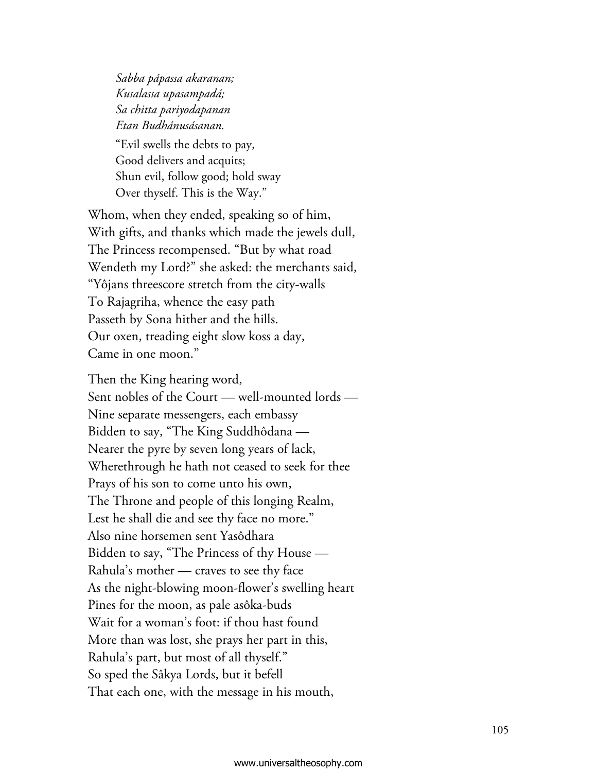*Sabba pápassa akaranan; Kusalassa upasampadá; Sa chitta pariyodapanan Etan Budhánusásanan.*  "Evil swells the debts to pay, Good delivers and acquits; Shun evil, follow good; hold sway Over thyself. This is the Way."

Whom, when they ended, speaking so of him, With gifts, and thanks which made the jewels dull, The Princess recompensed. "But by what road Wendeth my Lord?" she asked: the merchants said, "Yôjans threescore stretch from the city-walls To Rajagriha, whence the easy path Passeth by Sona hither and the hills. Our oxen, treading eight slow koss a day, Came in one moon."

Then the King hearing word, Sent nobles of the Court — well-mounted lords — Nine separate messengers, each embassy Bidden to say, "The King Suddhôdana – Nearer the pyre by seven long years of lack, Wherethrough he hath not ceased to seek for thee Prays of his son to come unto his own, The Throne and people of this longing Realm, Lest he shall die and see thy face no more." Also nine horsemen sent Yasôdhara Bidden to say, "The Princess of thy House – Rahula's mother — craves to see thy face As the night-blowing moon-flower's swelling heart Pines for the moon, as pale asôka-buds Wait for a woman's foot: if thou hast found More than was lost, she prays her part in this, Rahula's part, but most of all thyself." So sped the Sâkya Lords, but it befell That each one, with the message in his mouth,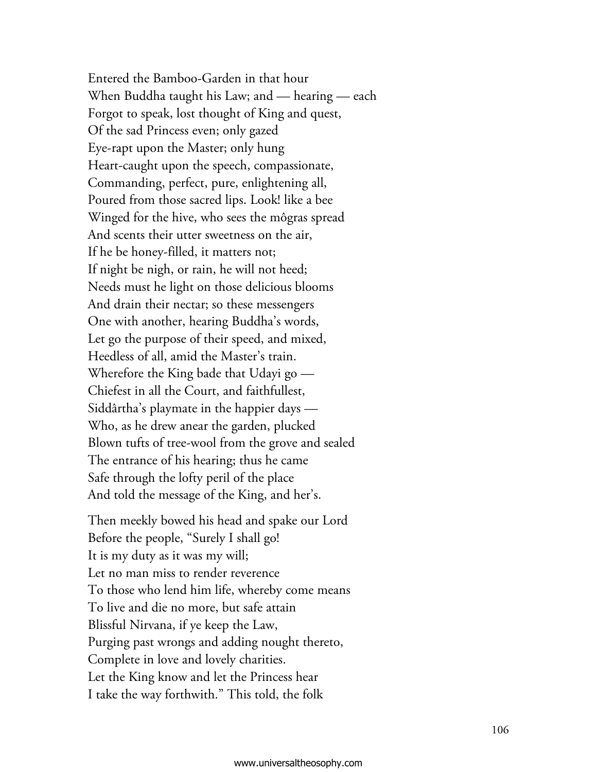Entered the Bamboo-Garden in that hour When Buddha taught his Law; and — hearing — each Forgot to speak, lost thought of King and quest, Of the sad Princess even; only gazed Eye-rapt upon the Master; only hung Heart-caught upon the speech, compassionate, Commanding, perfect, pure, enlightening all, Poured from those sacred lips. Look! like a bee Winged for the hive, who sees the môgras spread And scents their utter sweetness on the air, If he be honey-filled, it matters not; If night be nigh, or rain, he will not heed; Needs must he light on those delicious blooms And drain their nectar; so these messengers One with another, hearing Buddha's words, Let go the purpose of their speed, and mixed, Heedless of all, amid the Master's train. Wherefore the King bade that Udayi go  $-$ Chiefest in all the Court, and faithfullest, Siddârtha's playmate in the happier days — Who, as he drew anear the garden, plucked Blown tufts of tree-wool from the grove and sealed The entrance of his hearing; thus he came Safe through the lofty peril of the place And told the message of the King, and her's.

Then meekly bowed his head and spake our Lord Before the people, "Surely I shall go! It is my duty as it was my will; Let no man miss to render reverence To those who lend him life, whereby come means To live and die no more, but safe attain Blissful Nirvana, if ye keep the Law, Purging past wrongs and adding nought thereto, Complete in love and lovely charities. Let the King know and let the Princess hear I take the way forthwith." This told, the folk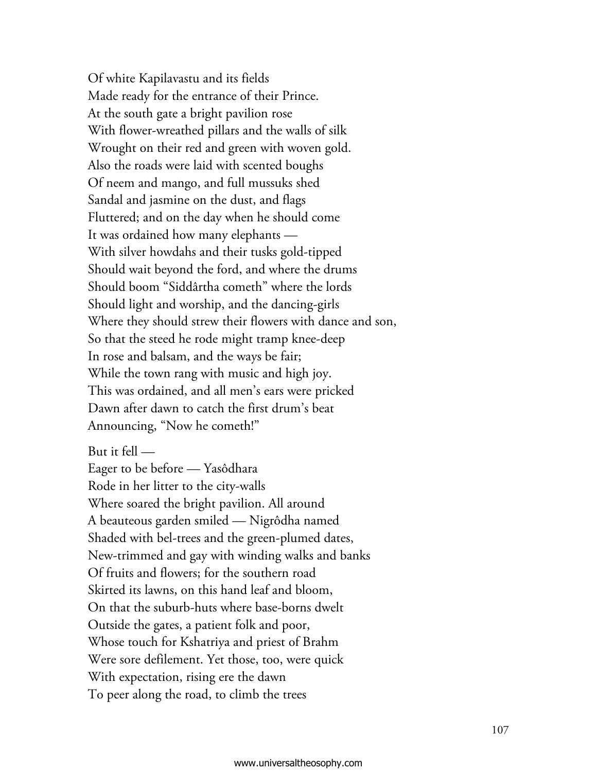Of white Kapilavastu and its fields Made ready for the entrance of their Prince. At the south gate a bright pavilion rose With flower-wreathed pillars and the walls of silk Wrought on their red and green with woven gold. Also the roads were laid with scented boughs Of neem and mango, and full mussuks shed Sandal and jasmine on the dust, and flags Fluttered; and on the day when he should come It was ordained how many elephants — With silver howdahs and their tusks gold-tipped Should wait beyond the ford, and where the drums Should boom "Siddârtha cometh" where the lords Should light and worship, and the dancing-girls Where they should strew their flowers with dance and son, So that the steed he rode might tramp knee-deep In rose and balsam, and the ways be fair; While the town rang with music and high joy. This was ordained, and all men's ears were pricked Dawn after dawn to catch the first drum's beat Announcing, "Now he cometh!"

But it fell —

Eager to be before — Yasôdhara Rode in her litter to the city-walls Where soared the bright pavilion. All around A beauteous garden smiled — Nigrôdha named Shaded with bel-trees and the green-plumed dates, New-trimmed and gay with winding walks and banks Of fruits and flowers; for the southern road Skirted its lawns, on this hand leaf and bloom, On that the suburb-huts where base-borns dwelt Outside the gates, a patient folk and poor, Whose touch for Kshatriya and priest of Brahm Were sore defilement. Yet those, too, were quick With expectation, rising ere the dawn To peer along the road, to climb the trees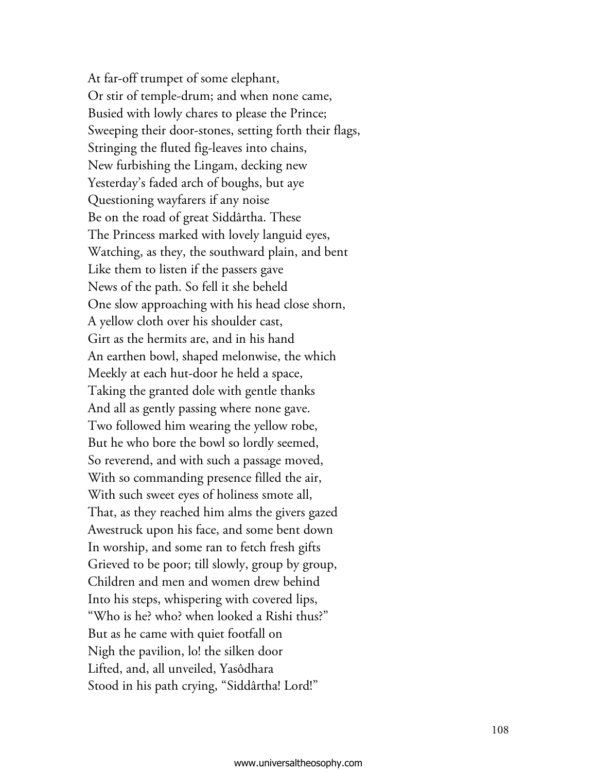At far-off trumpet of some elephant, Or stir of temple-drum; and when none came, Busied with lowly chares to please the Prince; Sweeping their door-stones, setting forth their flags, Stringing the fluted fig-leaves into chains, New furbishing the Lingam, decking new Yesterday's faded arch of boughs, but aye Questioning wayfarers if any noise Be on the road of great Siddârtha. These The Princess marked with lovely languid eyes, Watching, as they, the southward plain, and bent Like them to listen if the passers gave News of the path. So fell it she beheld One slow approaching with his head close shorn, A yellow cloth over his shoulder cast, Girt as the hermits are, and in his hand An earthen bowl, shaped melonwise, the which Meekly at each hut-door he held a space, Taking the granted dole with gentle thanks And all as gently passing where none gave. Two followed him wearing the yellow robe, But he who bore the bowl so lordly seemed, So reverend, and with such a passage moved, With so commanding presence filled the air, With such sweet eyes of holiness smote all, That, as they reached him alms the givers gazed Awestruck upon his face, and some bent down In worship, and some ran to fetch fresh gifts Grieved to be poor; till slowly, group by group, Children and men and women drew behind Into his steps, whispering with covered lips, "Who is he? who? when looked a Rishi thus?" But as he came with quiet footfall on Nigh the pavilion, lo! the silken door Lifted, and, all unveiled, Yasôdhara Stood in his path crying, "Siddârtha! Lord!"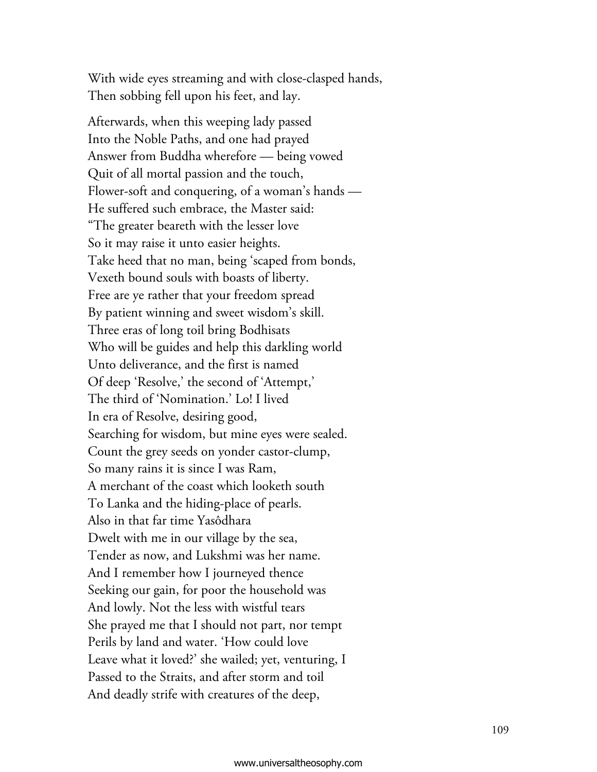With wide eyes streaming and with close-clasped hands, Then sobbing fell upon his feet, and lay.

Afterwards, when this weeping lady passed Into the Noble Paths, and one had prayed Answer from Buddha wherefore — being vowed Quit of all mortal passion and the touch, Flower-soft and conquering, of a woman's hands  $-$ He suffered such embrace, the Master said: "The greater beareth with the lesser love So it may raise it unto easier heights. Take heed that no man, being 'scaped from bonds, Vexeth bound souls with boasts of liberty. Free are ye rather that your freedom spread By patient winning and sweet wisdom's skill. Three eras of long toil bring Bodhisats Who will be guides and help this darkling world Unto deliverance, and the first is named Of deep 'Resolve,' the second of 'Attempt,' The third of 'Nomination.' Lo! I lived In era of Resolve, desiring good, Searching for wisdom, but mine eyes were sealed. Count the grey seeds on yonder castor-clump, So many rains it is since I was Ram, A merchant of the coast which looketh south To Lanka and the hiding-place of pearls. Also in that far time Yasôdhara Dwelt with me in our village by the sea, Tender as now, and Lukshmi was her name. And I remember how I journeyed thence Seeking our gain, for poor the household was And lowly. Not the less with wistful tears She prayed me that I should not part, nor tempt Perils by land and water. 'How could love Leave what it loved?' she wailed; yet, venturing, I Passed to the Straits, and after storm and toil And deadly strife with creatures of the deep,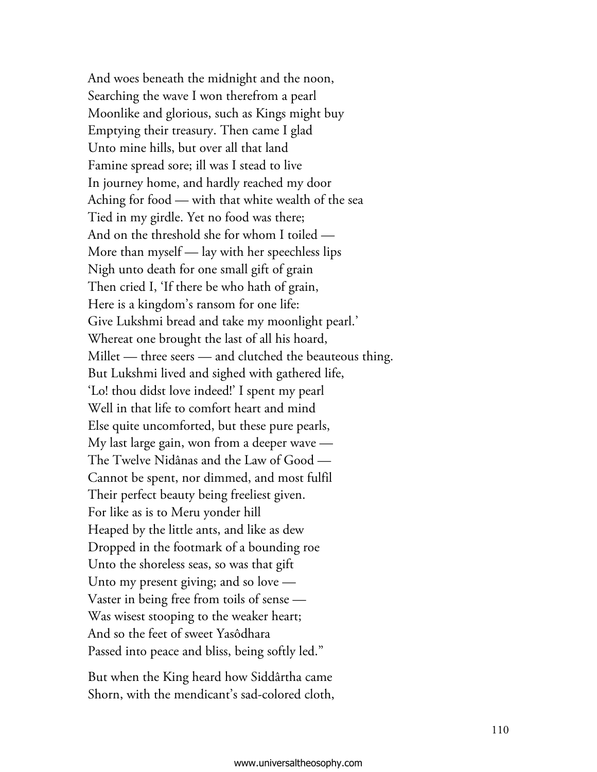And woes beneath the midnight and the noon, Searching the wave I won therefrom a pearl Moonlike and glorious, such as Kings might buy Emptying their treasury. Then came I glad Unto mine hills, but over all that land Famine spread sore; ill was I stead to live In journey home, and hardly reached my door Aching for food — with that white wealth of the sea Tied in my girdle. Yet no food was there; And on the threshold she for whom I toiled — More than myself — lay with her speechless lips Nigh unto death for one small gift of grain Then cried I, 'If there be who hath of grain, Here is a kingdom's ransom for one life: Give Lukshmi bread and take my moonlight pearl.' Whereat one brought the last of all his hoard, Millet — three seers — and clutched the beauteous thing. But Lukshmi lived and sighed with gathered life, 'Lo! thou didst love indeed!' I spent my pearl Well in that life to comfort heart and mind Else quite uncomforted, but these pure pearls, My last large gain, won from a deeper wave  $-$ The Twelve Nidânas and the Law of Good – Cannot be spent, nor dimmed, and most fulfil Their perfect beauty being freeliest given. For like as is to Meru yonder hill Heaped by the little ants, and like as dew Dropped in the footmark of a bounding roe Unto the shoreless seas, so was that gift Unto my present giving; and so love — Vaster in being free from toils of sense — Was wisest stooping to the weaker heart; And so the feet of sweet Yasôdhara Passed into peace and bliss, being softly led."

But when the King heard how Siddârtha came Shorn, with the mendicant's sad-colored cloth,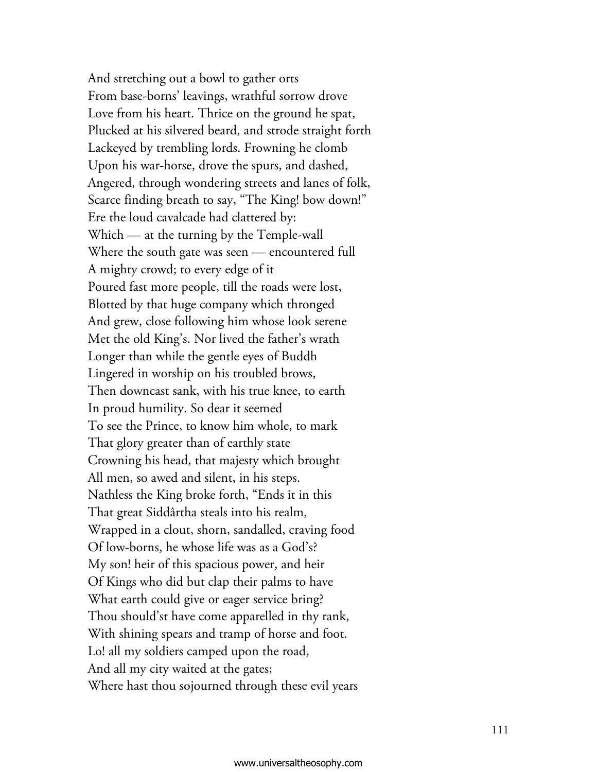And stretching out a bowl to gather orts From base-borns' leavings, wrathful sorrow drove Love from his heart. Thrice on the ground he spat, Plucked at his silvered beard, and strode straight forth Lackeyed by trembling lords. Frowning he clomb Upon his war-horse, drove the spurs, and dashed, Angered, through wondering streets and lanes of folk, Scarce finding breath to say, "The King! bow down!" Ere the loud cavalcade had clattered by: Which — at the turning by the Temple-wall Where the south gate was seen — encountered full A mighty crowd; to every edge of it Poured fast more people, till the roads were lost, Blotted by that huge company which thronged And grew, close following him whose look serene Met the old King's. Nor lived the father's wrath Longer than while the gentle eyes of Buddh Lingered in worship on his troubled brows, Then downcast sank, with his true knee, to earth In proud humility. So dear it seemed To see the Prince, to know him whole, to mark That glory greater than of earthly state Crowning his head, that majesty which brought All men, so awed and silent, in his steps. Nathless the King broke forth, "Ends it in this That great Siddârtha steals into his realm, Wrapped in a clout, shorn, sandalled, craving food Of low-borns, he whose life was as a God's? My son! heir of this spacious power, and heir Of Kings who did but clap their palms to have What earth could give or eager service bring? Thou should'st have come apparelled in thy rank, With shining spears and tramp of horse and foot. Lo! all my soldiers camped upon the road, And all my city waited at the gates; Where hast thou sojourned through these evil years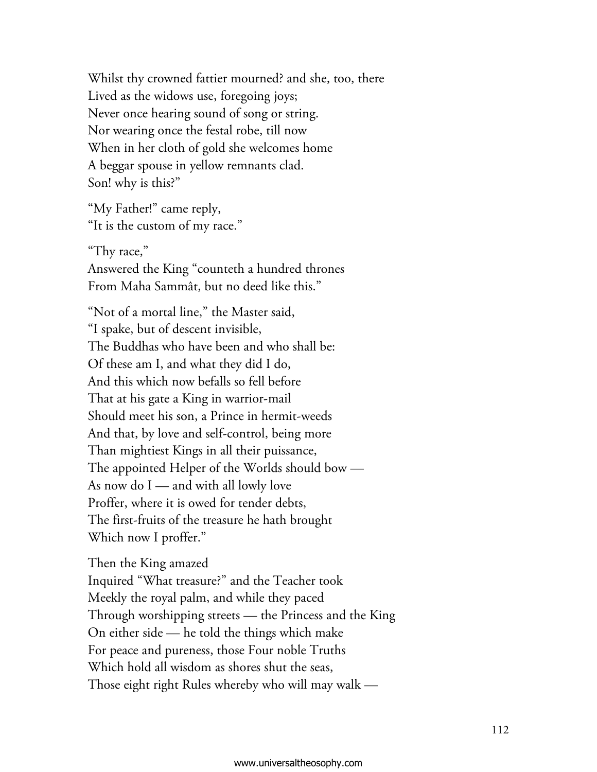Whilst thy crowned fattier mourned? and she, too, there Lived as the widows use, foregoing joys; Never once hearing sound of song or string. Nor wearing once the festal robe, till now When in her cloth of gold she welcomes home A beggar spouse in yellow remnants clad. Son! why is this?"

"My Father!" came reply, "It is the custom of my race."

"Thy race," Answered the King "counteth a hundred thrones From Maha Sammât, but no deed like this."

"Not of a mortal line," the Master said, "I spake, but of descent invisible, The Buddhas who have been and who shall be: Of these am I, and what they did I do, And this which now befalls so fell before That at his gate a King in warrior-mail Should meet his son, a Prince in hermit-weeds And that, by love and self-control, being more Than mightiest Kings in all their puissance, The appointed Helper of the Worlds should bow — As now do I — and with all lowly love Proffer, where it is owed for tender debts, The first-fruits of the treasure he hath brought Which now I proffer."

Then the King amazed Inquired "What treasure?" and the Teacher took Meekly the royal palm, and while they paced Through worshipping streets — the Princess and the King On either side — he told the things which make For peace and pureness, those Four noble Truths Which hold all wisdom as shores shut the seas, Those eight right Rules whereby who will may walk -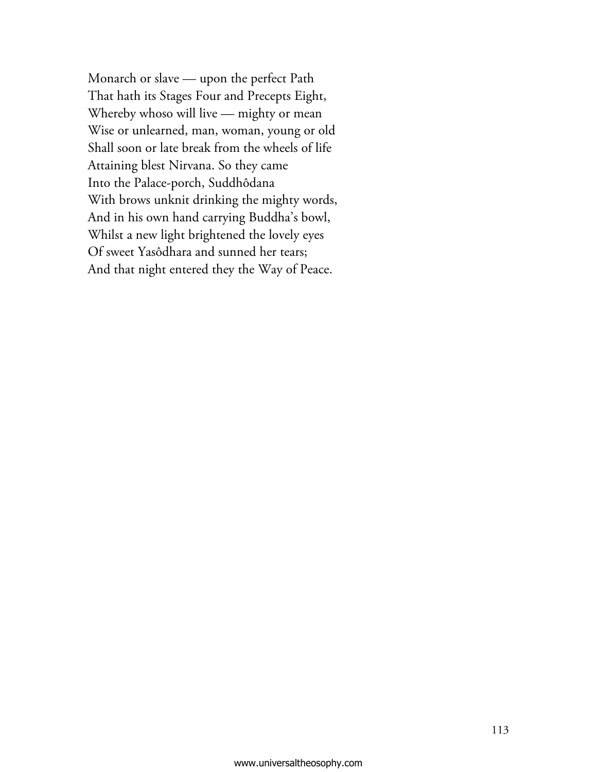Monarch or slave — upon the perfect Path That hath its Stages Four and Precepts Eight, Whereby whoso will live — mighty or mean Wise or unlearned, man, woman, young or old Shall soon or late break from the wheels of life Attaining blest Nirvana. So they came Into the Palace-porch, Suddhôdana With brows unknit drinking the mighty words, And in his own hand carrying Buddha's bowl, Whilst a new light brightened the lovely eyes Of sweet Yasôdhara and sunned her tears; And that night entered they the Way of Peace.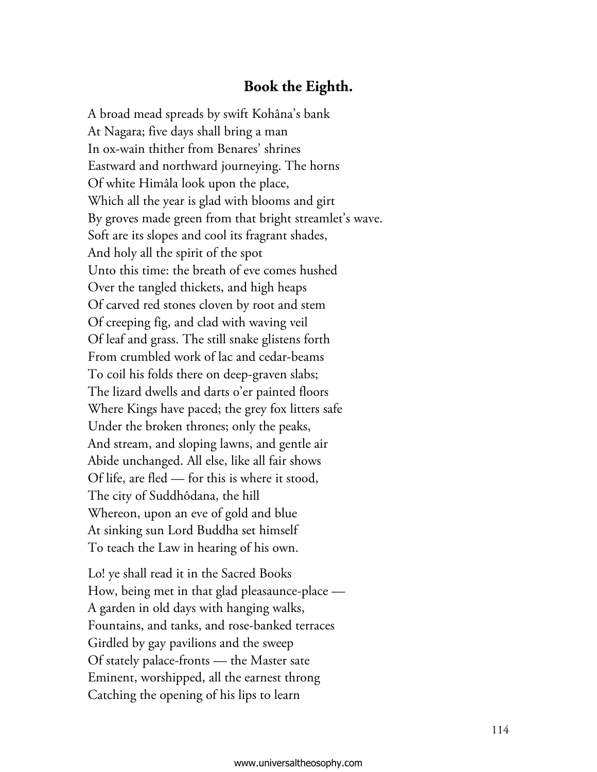## **Book the Eighth.**

A broad mead spreads by swift Kohâna's bank At Nagara; five days shall bring a man In ox-wain thither from Benares' shrines Eastward and northward journeying. The horns Of white Himâla look upon the place, Which all the year is glad with blooms and girt By groves made green from that bright streamlet's wave. Soft are its slopes and cool its fragrant shades, And holy all the spirit of the spot Unto this time: the breath of eve comes hushed Over the tangled thickets, and high heaps Of carved red stones cloven by root and stem Of creeping fig, and clad with waving veil Of leaf and grass. The still snake glistens forth From crumbled work of lac and cedar-beams To coil his folds there on deep-graven slabs; The lizard dwells and darts o'er painted floors Where Kings have paced; the grey fox litters safe Under the broken thrones; only the peaks, And stream, and sloping lawns, and gentle air Abide unchanged. All else, like all fair shows Of life, are fled — for this is where it stood, The city of Suddhôdana, the hill Whereon, upon an eve of gold and blue At sinking sun Lord Buddha set himself To teach the Law in hearing of his own.

Lo! ye shall read it in the Sacred Books How, being met in that glad pleasaunce-place — A garden in old days with hanging walks, Fountains, and tanks, and rose-banked terraces Girdled by gay pavilions and the sweep Of stately palace-fronts — the Master sate Eminent, worshipped, all the earnest throng Catching the opening of his lips to learn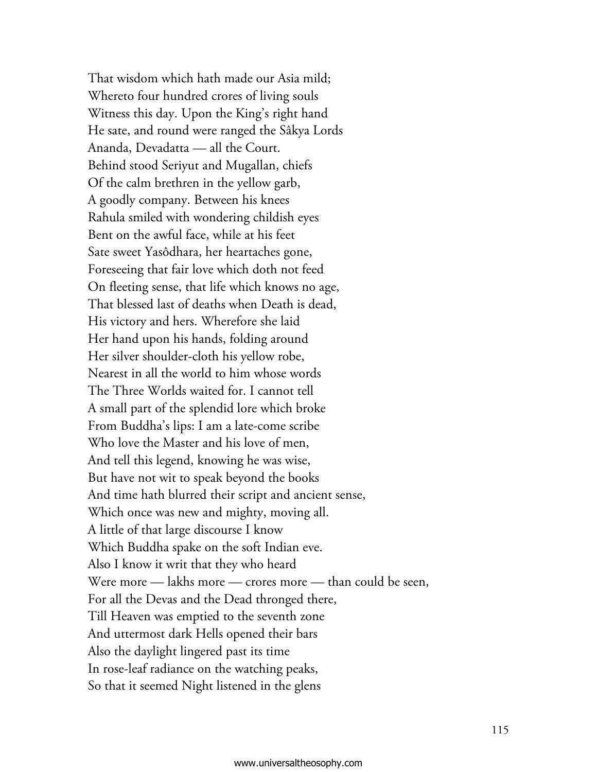That wisdom which hath made our Asia mild; Whereto four hundred crores of living souls Witness this day. Upon the King's right hand He sate, and round were ranged the Sâkya Lords Ananda, Devadatta — all the Court. Behind stood Seriyut and Mugallan, chiefs Of the calm brethren in the yellow garb, A goodly company. Between his knees Rahula smiled with wondering childish eyes Bent on the awful face, while at his feet Sate sweet Yasôdhara, her heartaches gone, Foreseeing that fair love which doth not feed On fleeting sense, that life which knows no age, That blessed last of deaths when Death is dead, His victory and hers. Wherefore she laid Her hand upon his hands, folding around Her silver shoulder-cloth his yellow robe, Nearest in all the world to him whose words The Three Worlds waited for. I cannot tell A small part of the splendid lore which broke From Buddha's lips: I am a late-come scribe Who love the Master and his love of men, And tell this legend, knowing he was wise, But have not wit to speak beyond the books And time hath blurred their script and ancient sense, Which once was new and mighty, moving all. A little of that large discourse I know Which Buddha spake on the soft Indian eve. Also I know it writ that they who heard Were more — lakhs more — crores more — than could be seen, For all the Devas and the Dead thronged there, Till Heaven was emptied to the seventh zone And uttermost dark Hells opened their bars Also the daylight lingered past its time In rose-leaf radiance on the watching peaks, So that it seemed Night listened in the glens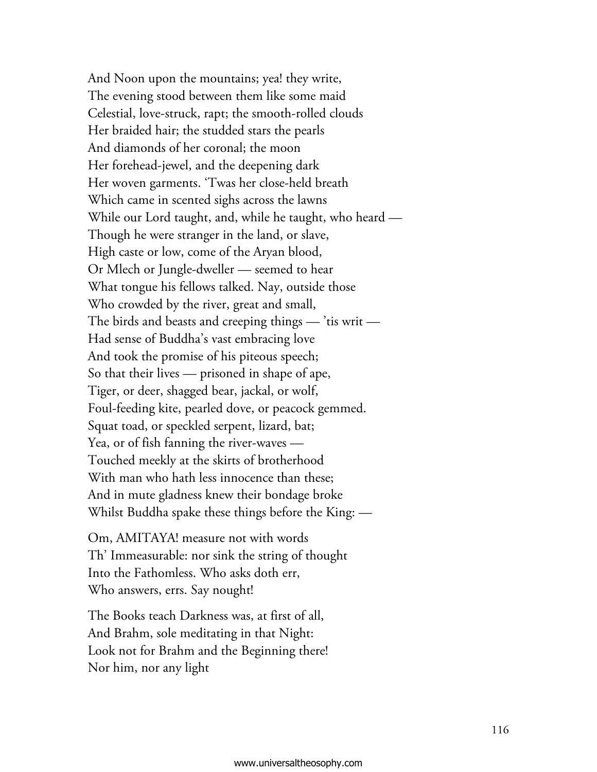And Noon upon the mountains; yea! they write, The evening stood between them like some maid Celestial, love-struck, rapt; the smooth-rolled clouds Her braided hair; the studded stars the pearls And diamonds of her coronal; the moon Her forehead-jewel, and the deepening dark Her woven garments. 'Twas her close-held breath Which came in scented sighs across the lawns While our Lord taught, and, while he taught, who heard — Though he were stranger in the land, or slave, High caste or low, come of the Aryan blood, Or Mlech or Jungle-dweller — seemed to hear What tongue his fellows talked. Nay, outside those Who crowded by the river, great and small, The birds and beasts and creeping things  $-$  'tis writ  $-$ Had sense of Buddha's vast embracing love And took the promise of his piteous speech; So that their lives — prisoned in shape of ape, Tiger, or deer, shagged bear, jackal, or wolf, Foul-feeding kite, pearled dove, or peacock gemmed. Squat toad, or speckled serpent, lizard, bat; Yea, or of fish fanning the river-waves — Touched meekly at the skirts of brotherhood With man who hath less innocence than these; And in mute gladness knew their bondage broke Whilst Buddha spake these things before the King: —

Om, AMITAYA! measure not with words Th' Immeasurable: nor sink the string of thought Into the Fathomless. Who asks doth err, Who answers, errs. Say nought!

The Books teach Darkness was, at first of all, And Brahm, sole meditating in that Night: Look not for Brahm and the Beginning there! Nor him, nor any light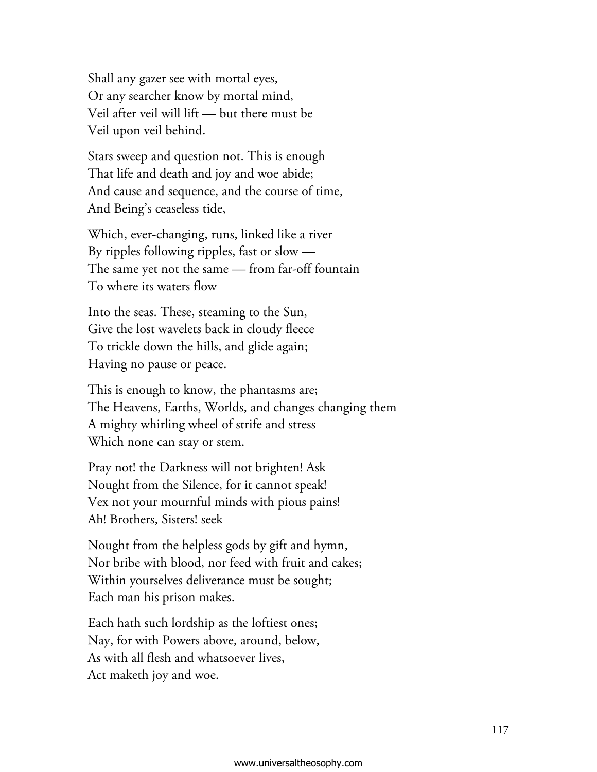Shall any gazer see with mortal eyes, Or any searcher know by mortal mind, Veil after veil will lift — but there must be Veil upon veil behind.

Stars sweep and question not. This is enough That life and death and joy and woe abide; And cause and sequence, and the course of time, And Being's ceaseless tide,

Which, ever-changing, runs, linked like a river By ripples following ripples, fast or slow  $-$ The same yet not the same — from far-off fountain To where its waters flow

Into the seas. These, steaming to the Sun, Give the lost wavelets back in cloudy fleece To trickle down the hills, and glide again; Having no pause or peace.

This is enough to know, the phantasms are; The Heavens, Earths, Worlds, and changes changing them A mighty whirling wheel of strife and stress Which none can stay or stem.

Pray not! the Darkness will not brighten! Ask Nought from the Silence, for it cannot speak! Vex not your mournful minds with pious pains! Ah! Brothers, Sisters! seek

Nought from the helpless gods by gift and hymn, Nor bribe with blood, nor feed with fruit and cakes; Within yourselves deliverance must be sought; Each man his prison makes.

Each hath such lordship as the loftiest ones; Nay, for with Powers above, around, below, As with all flesh and whatsoever lives, Act maketh joy and woe.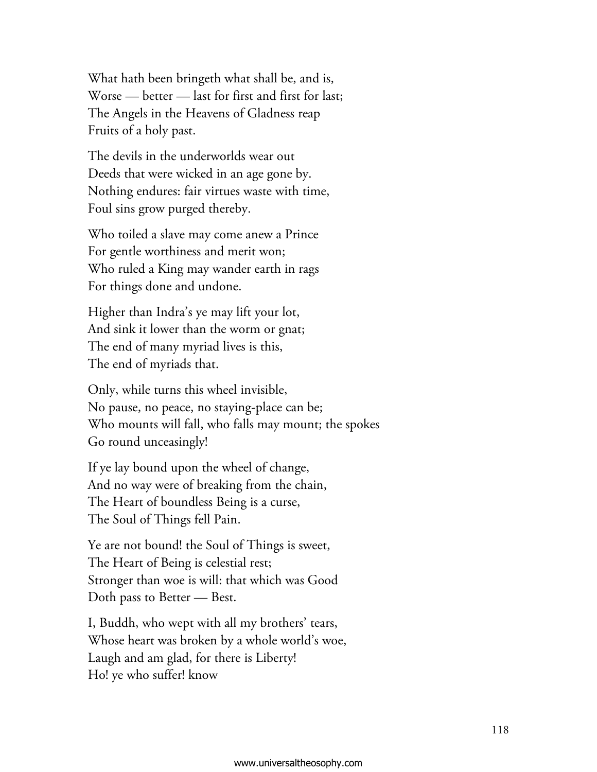What hath been bringeth what shall be, and is, Worse — better — last for first and first for last; The Angels in the Heavens of Gladness reap Fruits of a holy past.

The devils in the underworlds wear out Deeds that were wicked in an age gone by. Nothing endures: fair virtues waste with time, Foul sins grow purged thereby.

Who toiled a slave may come anew a Prince For gentle worthiness and merit won; Who ruled a King may wander earth in rags For things done and undone.

Higher than Indra's ye may lift your lot, And sink it lower than the worm or gnat; The end of many myriad lives is this, The end of myriads that.

Only, while turns this wheel invisible, No pause, no peace, no staying-place can be; Who mounts will fall, who falls may mount; the spokes Go round unceasingly!

If ye lay bound upon the wheel of change, And no way were of breaking from the chain, The Heart of boundless Being is a curse, The Soul of Things fell Pain.

Ye are not bound! the Soul of Things is sweet, The Heart of Being is celestial rest; Stronger than woe is will: that which was Good Doth pass to Better — Best.

I, Buddh, who wept with all my brothers' tears, Whose heart was broken by a whole world's woe, Laugh and am glad, for there is Liberty! Ho! ye who suffer! know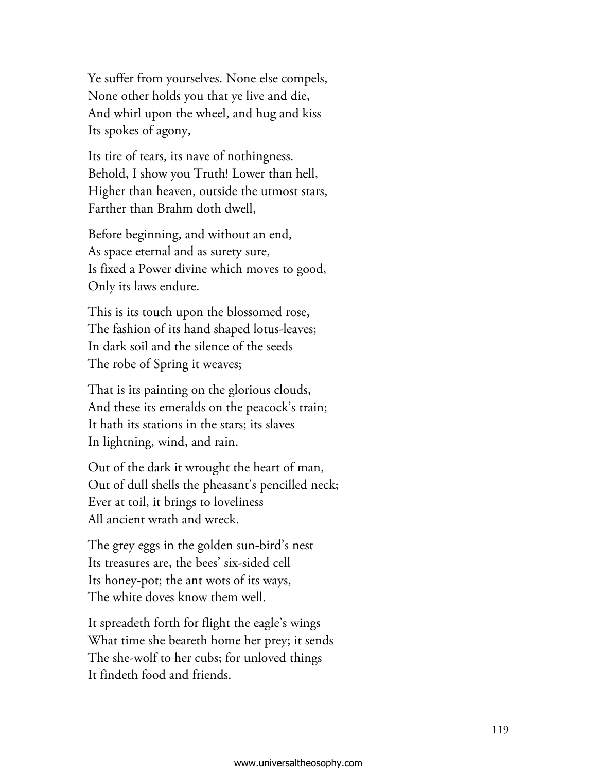Ye suffer from yourselves. None else compels, None other holds you that ye live and die, And whirl upon the wheel, and hug and kiss Its spokes of agony,

Its tire of tears, its nave of nothingness. Behold, I show you Truth! Lower than hell, Higher than heaven, outside the utmost stars, Farther than Brahm doth dwell,

Before beginning, and without an end, As space eternal and as surety sure, Is fixed a Power divine which moves to good, Only its laws endure.

This is its touch upon the blossomed rose, The fashion of its hand shaped lotus-leaves; In dark soil and the silence of the seeds The robe of Spring it weaves;

That is its painting on the glorious clouds, And these its emeralds on the peacock's train; It hath its stations in the stars; its slaves In lightning, wind, and rain.

Out of the dark it wrought the heart of man, Out of dull shells the pheasant's pencilled neck; Ever at toil, it brings to loveliness All ancient wrath and wreck.

The grey eggs in the golden sun-bird's nest Its treasures are, the bees' six-sided cell Its honey-pot; the ant wots of its ways, The white doves know them well.

It spreadeth forth for flight the eagle's wings What time she beareth home her prey; it sends The she-wolf to her cubs; for unloved things It findeth food and friends.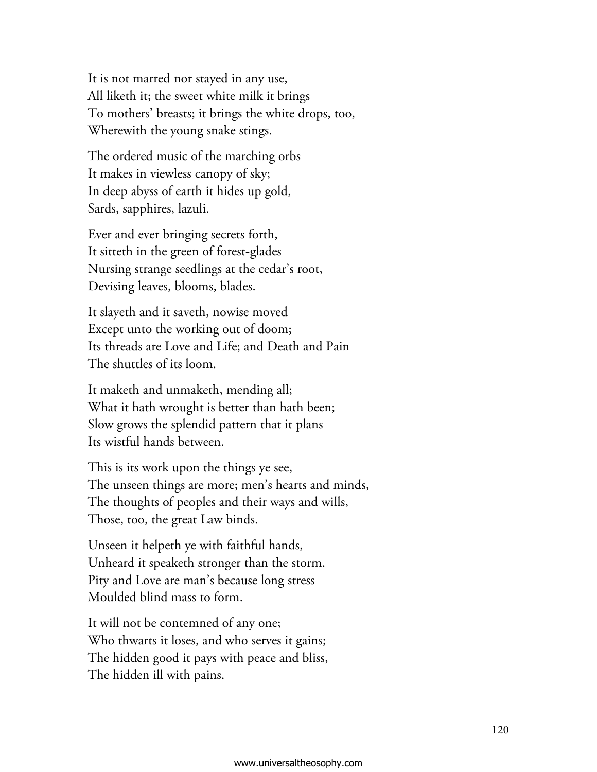It is not marred nor stayed in any use, All liketh it; the sweet white milk it brings To mothers' breasts; it brings the white drops, too, Wherewith the young snake stings.

The ordered music of the marching orbs It makes in viewless canopy of sky; In deep abyss of earth it hides up gold, Sards, sapphires, lazuli.

Ever and ever bringing secrets forth, It sitteth in the green of forest-glades Nursing strange seedlings at the cedar's root, Devising leaves, blooms, blades.

It slayeth and it saveth, nowise moved Except unto the working out of doom; Its threads are Love and Life; and Death and Pain The shuttles of its loom.

It maketh and unmaketh, mending all; What it hath wrought is better than hath been; Slow grows the splendid pattern that it plans Its wistful hands between.

This is its work upon the things ye see, The unseen things are more; men's hearts and minds, The thoughts of peoples and their ways and wills, Those, too, the great Law binds.

Unseen it helpeth ye with faithful hands, Unheard it speaketh stronger than the storm. Pity and Love are man's because long stress Moulded blind mass to form.

It will not be contemned of any one; Who thwarts it loses, and who serves it gains; The hidden good it pays with peace and bliss, The hidden ill with pains.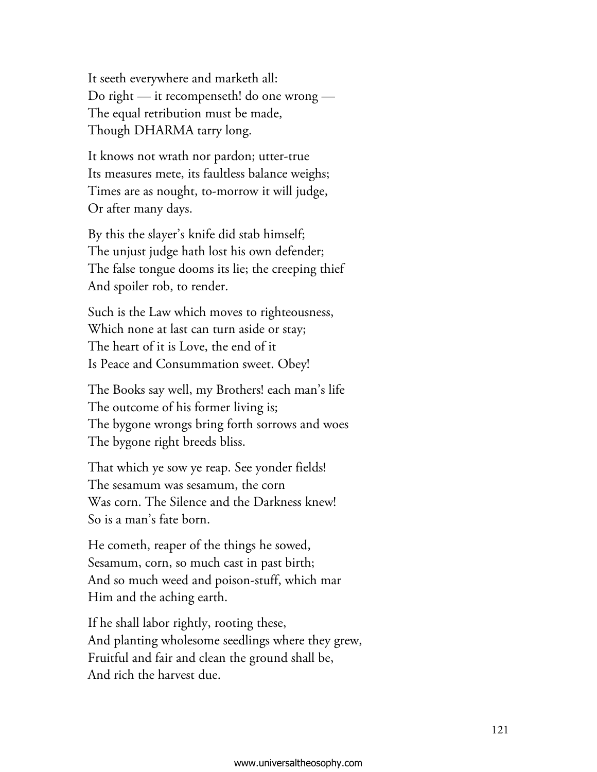It seeth everywhere and marketh all: Do right — it recompenseth! do one wrong — The equal retribution must be made, Though DHARMA tarry long.

It knows not wrath nor pardon; utter-true Its measures mete, its faultless balance weighs; Times are as nought, to-morrow it will judge, Or after many days.

By this the slayer's knife did stab himself; The unjust judge hath lost his own defender; The false tongue dooms its lie; the creeping thief And spoiler rob, to render.

Such is the Law which moves to righteousness, Which none at last can turn aside or stay; The heart of it is Love, the end of it Is Peace and Consummation sweet. Obey!

The Books say well, my Brothers! each man's life The outcome of his former living is; The bygone wrongs bring forth sorrows and woes The bygone right breeds bliss.

That which ye sow ye reap. See yonder fields! The sesamum was sesamum, the corn Was corn. The Silence and the Darkness knew! So is a man's fate born.

He cometh, reaper of the things he sowed, Sesamum, corn, so much cast in past birth; And so much weed and poison-stuff, which mar Him and the aching earth.

If he shall labor rightly, rooting these, And planting wholesome seedlings where they grew, Fruitful and fair and clean the ground shall be, And rich the harvest due.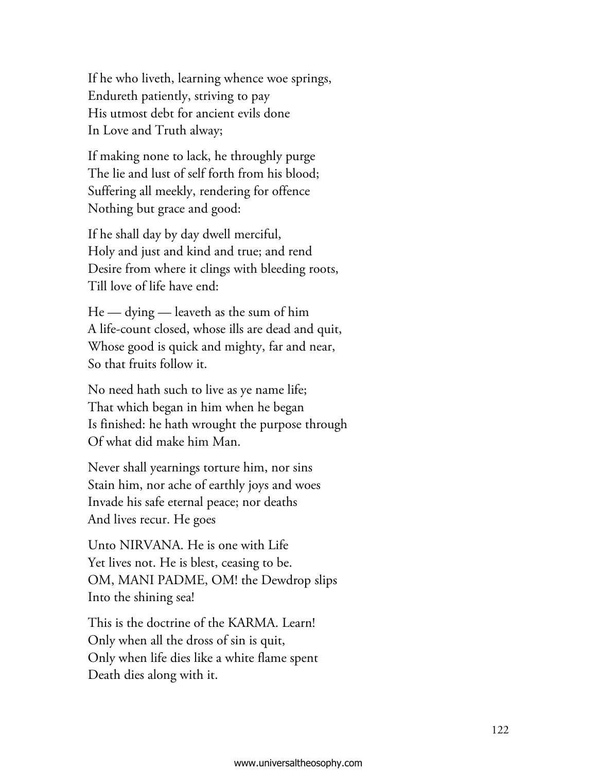If he who liveth, learning whence woe springs, Endureth patiently, striving to pay His utmost debt for ancient evils done In Love and Truth alway;

If making none to lack, he throughly purge The lie and lust of self forth from his blood; Suffering all meekly, rendering for offence Nothing but grace and good:

If he shall day by day dwell merciful, Holy and just and kind and true; and rend Desire from where it clings with bleeding roots, Till love of life have end:

He — dying — leaveth as the sum of him A life-count closed, whose ills are dead and quit, Whose good is quick and mighty, far and near, So that fruits follow it.

No need hath such to live as ye name life; That which began in him when he began Is finished: he hath wrought the purpose through Of what did make him Man.

Never shall yearnings torture him, nor sins Stain him, nor ache of earthly joys and woes Invade his safe eternal peace; nor deaths And lives recur. He goes

Unto NIRVANA. He is one with Life Yet lives not. He is blest, ceasing to be. OM, MANI PADME, OM! the Dewdrop slips Into the shining sea!

This is the doctrine of the KARMA. Learn! Only when all the dross of sin is quit, Only when life dies like a white flame spent Death dies along with it.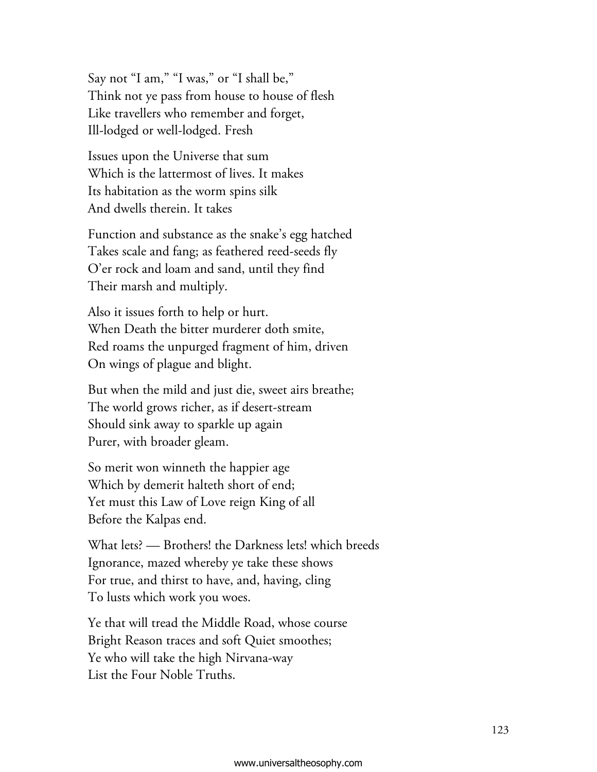Say not "I am," "I was," or "I shall be," Think not ye pass from house to house of flesh Like travellers who remember and forget, Ill-lodged or well-lodged. Fresh

Issues upon the Universe that sum Which is the lattermost of lives. It makes Its habitation as the worm spins silk And dwells therein. It takes

Function and substance as the snake's egg hatched Takes scale and fang; as feathered reed-seeds fly O'er rock and loam and sand, until they find Their marsh and multiply.

Also it issues forth to help or hurt. When Death the bitter murderer doth smite, Red roams the unpurged fragment of him, driven On wings of plague and blight.

But when the mild and just die, sweet airs breathe; The world grows richer, as if desert-stream Should sink away to sparkle up again Purer, with broader gleam.

So merit won winneth the happier age Which by demerit halteth short of end; Yet must this Law of Love reign King of all Before the Kalpas end.

What lets? — Brothers! the Darkness lets! which breeds Ignorance, mazed whereby ye take these shows For true, and thirst to have, and, having, cling To lusts which work you woes.

Ye that will tread the Middle Road, whose course Bright Reason traces and soft Quiet smoothes; Ye who will take the high Nirvana-way List the Four Noble Truths.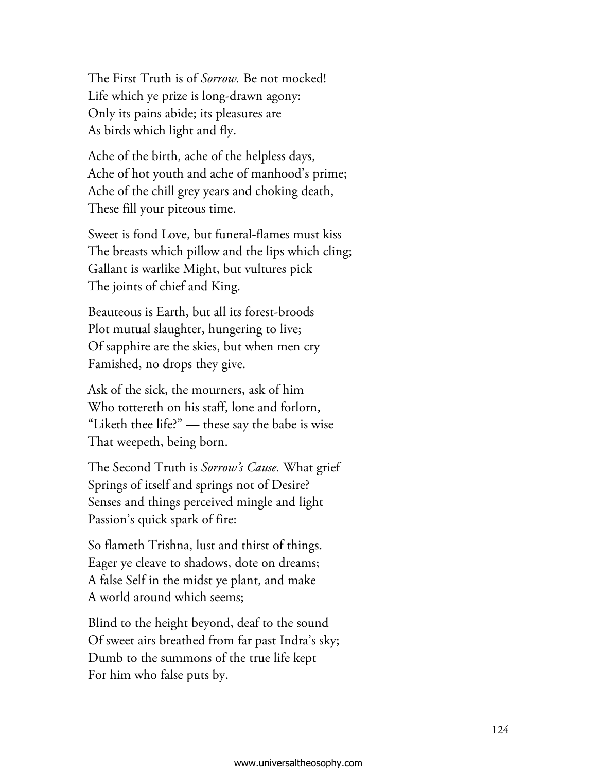The First Truth is of *Sorrow.* Be not mocked! Life which ye prize is long-drawn agony: Only its pains abide; its pleasures are As birds which light and fly.

Ache of the birth, ache of the helpless days, Ache of hot youth and ache of manhood's prime; Ache of the chill grey years and choking death, These fill your piteous time.

Sweet is fond Love, but funeral-flames must kiss The breasts which pillow and the lips which cling; Gallant is warlike Might, but vultures pick The joints of chief and King.

Beauteous is Earth, but all its forest-broods Plot mutual slaughter, hungering to live; Of sapphire are the skies, but when men cry Famished, no drops they give.

Ask of the sick, the mourners, ask of him Who tottereth on his staff, lone and forlorn, "Liketh thee life?" — these say the babe is wise That weepeth, being born.

The Second Truth is *Sorrow's Cause.* What grief Springs of itself and springs not of Desire? Senses and things perceived mingle and light Passion's quick spark of fire:

So flameth Trishna, lust and thirst of things. Eager ye cleave to shadows, dote on dreams; A false Self in the midst ye plant, and make A world around which seems;

Blind to the height beyond, deaf to the sound Of sweet airs breathed from far past Indra's sky; Dumb to the summons of the true life kept For him who false puts by.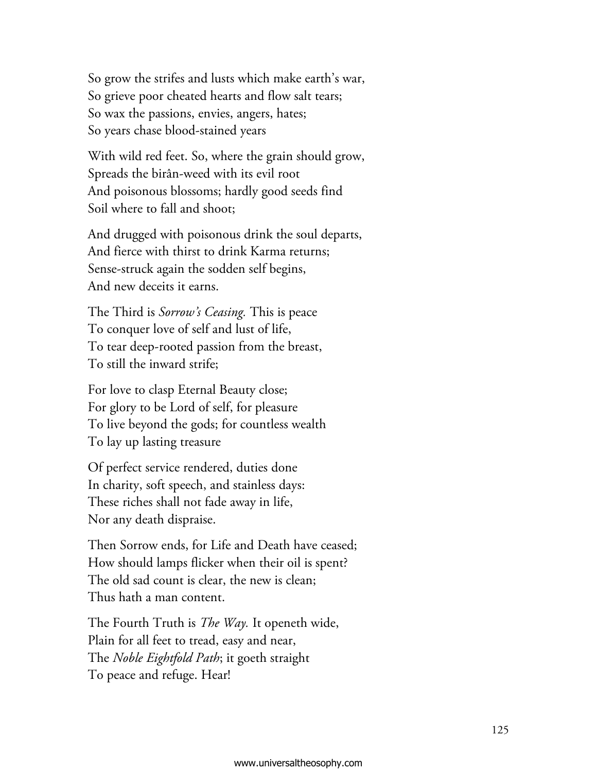So grow the strifes and lusts which make earth's war, So grieve poor cheated hearts and flow salt tears; So wax the passions, envies, angers, hates; So years chase blood-stained years

With wild red feet. So, where the grain should grow, Spreads the birân-weed with its evil root And poisonous blossoms; hardly good seeds find Soil where to fall and shoot;

And drugged with poisonous drink the soul departs, And fierce with thirst to drink Karma returns; Sense-struck again the sodden self begins, And new deceits it earns.

The Third is *Sorrow's Ceasing.* This is peace To conquer love of self and lust of life, To tear deep-rooted passion from the breast, To still the inward strife;

For love to clasp Eternal Beauty close; For glory to be Lord of self, for pleasure To live beyond the gods; for countless wealth To lay up lasting treasure

Of perfect service rendered, duties done In charity, soft speech, and stainless days: These riches shall not fade away in life, Nor any death dispraise.

Then Sorrow ends, for Life and Death have ceased; How should lamps flicker when their oil is spent? The old sad count is clear, the new is clean; Thus hath a man content.

The Fourth Truth is *The Way.* It openeth wide, Plain for all feet to tread, easy and near, The *Noble Eightfold Path*; it goeth straight To peace and refuge. Hear!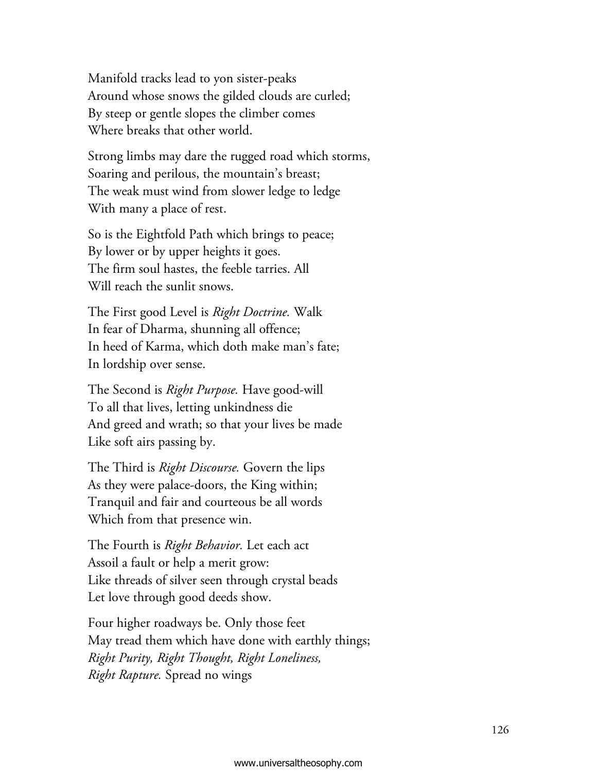Manifold tracks lead to yon sister-peaks Around whose snows the gilded clouds are curled; By steep or gentle slopes the climber comes Where breaks that other world.

Strong limbs may dare the rugged road which storms, Soaring and perilous, the mountain's breast; The weak must wind from slower ledge to ledge With many a place of rest.

So is the Eightfold Path which brings to peace; By lower or by upper heights it goes. The firm soul hastes, the feeble tarries. All Will reach the sunlit snows.

The First good Level is *Right Doctrine.* Walk In fear of Dharma, shunning all offence; In heed of Karma, which doth make man's fate; In lordship over sense.

The Second is *Right Purpose.* Have good-will To all that lives, letting unkindness die And greed and wrath; so that your lives be made Like soft airs passing by.

The Third is *Right Discourse.* Govern the lips As they were palace-doors, the King within; Tranquil and fair and courteous be all words Which from that presence win.

The Fourth is *Right Behavior.* Let each act Assoil a fault or help a merit grow: Like threads of silver seen through crystal beads Let love through good deeds show.

Four higher roadways be. Only those feet May tread them which have done with earthly things; *Right Purity, Right Thought, Right Loneliness, Right Rapture.* Spread no wings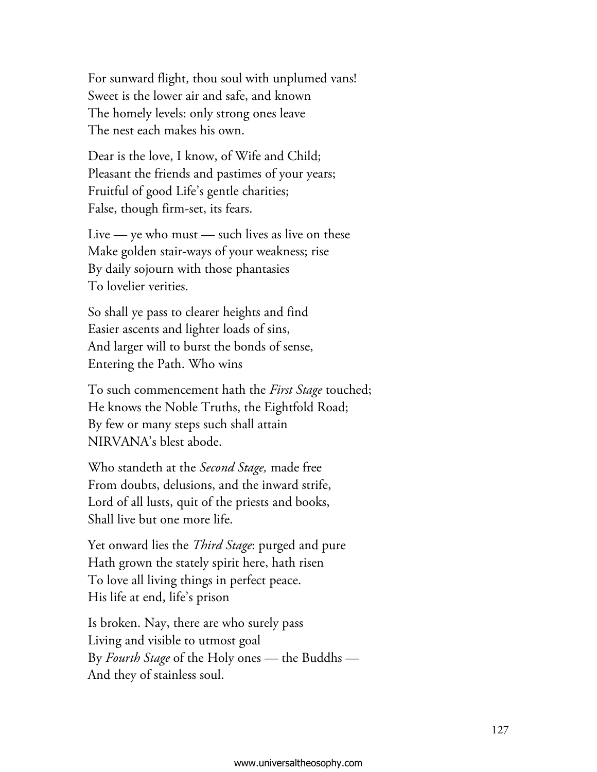For sunward flight, thou soul with unplumed vans! Sweet is the lower air and safe, and known The homely levels: only strong ones leave The nest each makes his own.

Dear is the love, I know, of Wife and Child; Pleasant the friends and pastimes of your years; Fruitful of good Life's gentle charities; False, though firm-set, its fears.

Live — ye who must — such lives as live on these Make golden stair-ways of your weakness; rise By daily sojourn with those phantasies To lovelier verities.

So shall ye pass to clearer heights and find Easier ascents and lighter loads of sins, And larger will to burst the bonds of sense, Entering the Path. Who wins

To such commencement hath the *First Stage* touched; He knows the Noble Truths, the Eightfold Road; By few or many steps such shall attain NIRVANA's blest abode.

Who standeth at the *Second Stage,* made free From doubts, delusions, and the inward strife, Lord of all lusts, quit of the priests and books, Shall live but one more life.

Yet onward lies the *Third Stage*: purged and pure Hath grown the stately spirit here, hath risen To love all living things in perfect peace. His life at end, life's prison

Is broken. Nay, there are who surely pass Living and visible to utmost goal By *Fourth Stage* of the Holy ones — the Buddhs – And they of stainless soul.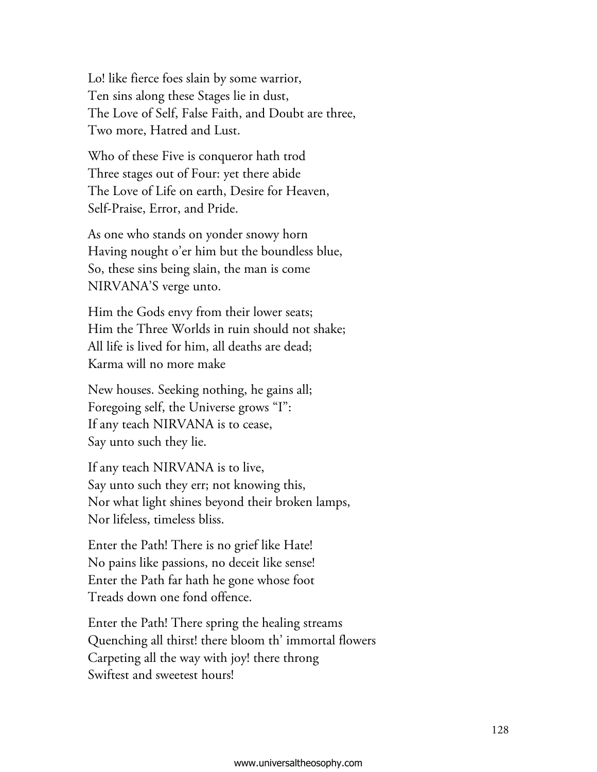Lo! like fierce foes slain by some warrior, Ten sins along these Stages lie in dust, The Love of Self, False Faith, and Doubt are three, Two more, Hatred and Lust.

Who of these Five is conqueror hath trod Three stages out of Four: yet there abide The Love of Life on earth, Desire for Heaven, Self-Praise, Error, and Pride.

As one who stands on yonder snowy horn Having nought o'er him but the boundless blue, So, these sins being slain, the man is come NIRVANA'S verge unto.

Him the Gods envy from their lower seats; Him the Three Worlds in ruin should not shake; All life is lived for him, all deaths are dead; Karma will no more make

New houses. Seeking nothing, he gains all; Foregoing self, the Universe grows "I": If any teach NIRVANA is to cease, Say unto such they lie.

If any teach NIRVANA is to live, Say unto such they err; not knowing this, Nor what light shines beyond their broken lamps, Nor lifeless, timeless bliss.

Enter the Path! There is no grief like Hate! No pains like passions, no deceit like sense! Enter the Path far hath he gone whose foot Treads down one fond offence.

Enter the Path! There spring the healing streams Quenching all thirst! there bloom th' immortal flowers Carpeting all the way with joy! there throng Swiftest and sweetest hours!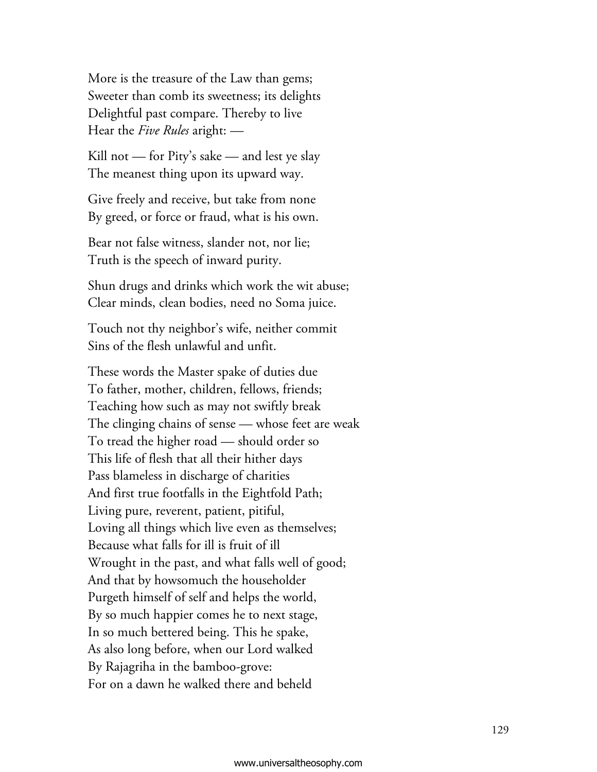More is the treasure of the Law than gems; Sweeter than comb its sweetness; its delights Delightful past compare. Thereby to live Hear the *Five Rules* aright: —

Kill not — for Pity's sake — and lest ye slay The meanest thing upon its upward way.

Give freely and receive, but take from none By greed, or force or fraud, what is his own.

Bear not false witness, slander not, nor lie; Truth is the speech of inward purity.

Shun drugs and drinks which work the wit abuse; Clear minds, clean bodies, need no Soma juice.

Touch not thy neighbor's wife, neither commit Sins of the flesh unlawful and unfit.

These words the Master spake of duties due To father, mother, children, fellows, friends; Teaching how such as may not swiftly break The clinging chains of sense — whose feet are weak To tread the higher road — should order so This life of flesh that all their hither days Pass blameless in discharge of charities And first true footfalls in the Eightfold Path; Living pure, reverent, patient, pitiful, Loving all things which live even as themselves; Because what falls for ill is fruit of ill Wrought in the past, and what falls well of good; And that by howsomuch the householder Purgeth himself of self and helps the world, By so much happier comes he to next stage, In so much bettered being. This he spake, As also long before, when our Lord walked By Rajagriha in the bamboo-grove: For on a dawn he walked there and beheld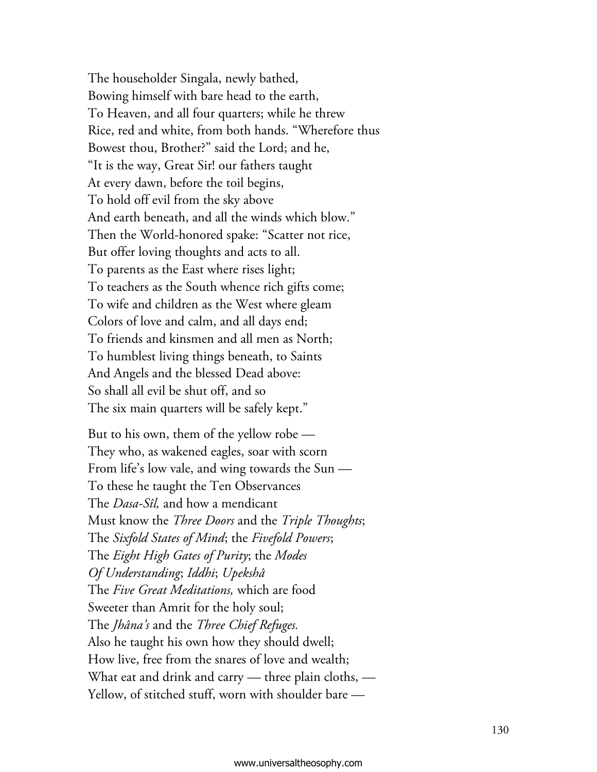The householder Singala, newly bathed, Bowing himself with bare head to the earth, To Heaven, and all four quarters; while he threw Rice, red and white, from both hands. "Wherefore thus Bowest thou, Brother?" said the Lord; and he, "It is the way, Great Sir! our fathers taught At every dawn, before the toil begins, To hold off evil from the sky above And earth beneath, and all the winds which blow." Then the World-honored spake: "Scatter not rice, But offer loving thoughts and acts to all. To parents as the East where rises light; To teachers as the South whence rich gifts come; To wife and children as the West where gleam Colors of love and calm, and all days end; To friends and kinsmen and all men as North; To humblest living things beneath, to Saints And Angels and the blessed Dead above: So shall all evil be shut off, and so The six main quarters will be safely kept."

But to his own, them of the yellow robe — They who, as wakened eagles, soar with scorn From life's low vale, and wing towards the Sun  $-$ To these he taught the Ten Observances The *Dasa-Sîl,* and how a mendicant Must know the *Three Doors* and the *Triple Thoughts*; The *Sixfold States of Mind*; the *Fivefold Powers*; The *Eight High Gates of Purity*; the *Modes Of Understanding*; *Iddhi*; *Upekshâ* The *Five Great Meditations,* which are food Sweeter than Amrit for the holy soul; The *Jhâna's* and the *Three Chief Refuges.* Also he taught his own how they should dwell; How live, free from the snares of love and wealth; What eat and drink and carry — three plain cloths, — Yellow, of stitched stuff, worn with shoulder bare -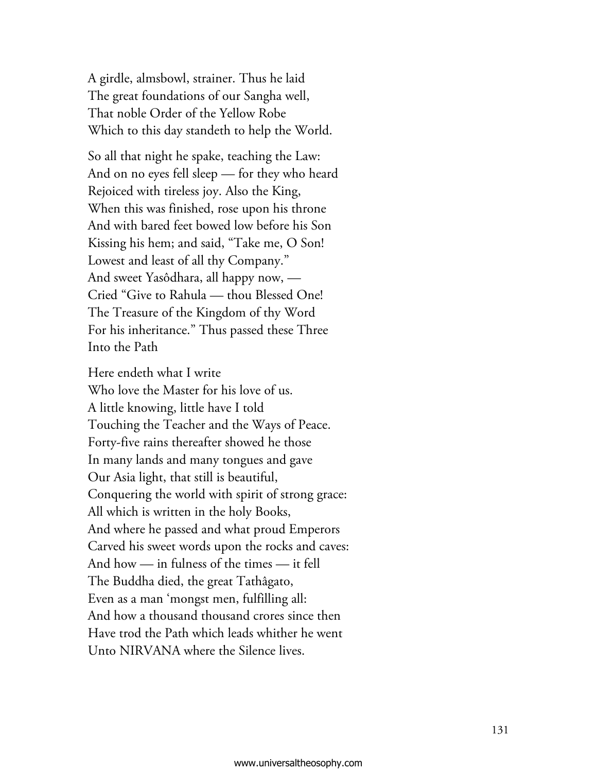A girdle, almsbowl, strainer. Thus he laid The great foundations of our Sangha well, That noble Order of the Yellow Robe Which to this day standeth to help the World.

So all that night he spake, teaching the Law: And on no eyes fell sleep — for they who heard Rejoiced with tireless joy. Also the King, When this was finished, rose upon his throne And with bared feet bowed low before his Son Kissing his hem; and said, "Take me, O Son! Lowest and least of all thy Company." And sweet Yasôdhara, all happy now, — Cried "Give to Rahula — thou Blessed One! The Treasure of the Kingdom of thy Word For his inheritance." Thus passed these Three Into the Path

Here endeth what I write Who love the Master for his love of us. A little knowing, little have I told Touching the Teacher and the Ways of Peace. Forty-five rains thereafter showed he those In many lands and many tongues and gave Our Asia light, that still is beautiful, Conquering the world with spirit of strong grace: All which is written in the holy Books, And where he passed and what proud Emperors Carved his sweet words upon the rocks and caves: And how — in fulness of the times — it fell The Buddha died, the great Tathâgato, Even as a man 'mongst men, fulfilling all: And how a thousand thousand crores since then Have trod the Path which leads whither he went Unto NIRVANA where the Silence lives.